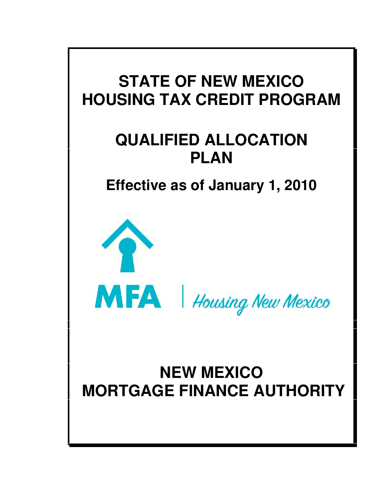# **STATE OF NEW MEXICO HOUSING TAX CREDIT PROGRAM**

# **QUALIFIED ALLOCATION PLAN**

**Effective as of January 1, 2010**



# **NEW MEXICO MORTGAGE FINANCE AUTHORITY**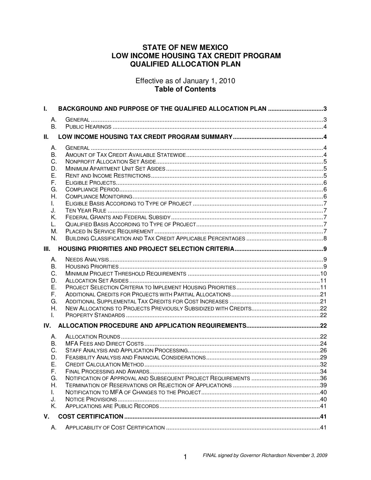# **STATE OF NEW MEXICO** LOW INCOME HOUSING TAX CREDIT PROGRAM **QUALIFIED ALLOCATION PLAN**

Effective as of January 1, 2010 Table of Contents

| L.       | BACKGROUND AND PURPOSE OF THE QUALIFIED ALLOCATION PLAN 3 |  |
|----------|-----------------------------------------------------------|--|
| А.<br>B. |                                                           |  |
| Ш.       |                                                           |  |
| А.       |                                                           |  |
| В.       |                                                           |  |
| C.       |                                                           |  |
| D.       |                                                           |  |
| Ε.<br>F. |                                                           |  |
| G.       |                                                           |  |
| Н.       |                                                           |  |
| L.       |                                                           |  |
| J.       |                                                           |  |
| Κ.       |                                                           |  |
| L.       |                                                           |  |
| М.<br>N. |                                                           |  |
|          |                                                           |  |
| III.     |                                                           |  |
| А.       |                                                           |  |
| В.       |                                                           |  |
| C.<br>D. |                                                           |  |
| Е.       |                                                           |  |
| F.       |                                                           |  |
| G.       |                                                           |  |
| Η.       |                                                           |  |
| I.       |                                                           |  |
| IV.      |                                                           |  |
| А.       |                                                           |  |
| В.       |                                                           |  |
| C.       |                                                           |  |
| D.<br>Е. |                                                           |  |
| F.       |                                                           |  |
| G.       |                                                           |  |
| Н.       |                                                           |  |
| L.       |                                                           |  |
| J.       |                                                           |  |
| Κ.       |                                                           |  |
| V.       |                                                           |  |
| А.       |                                                           |  |

 $\mathbf{1}$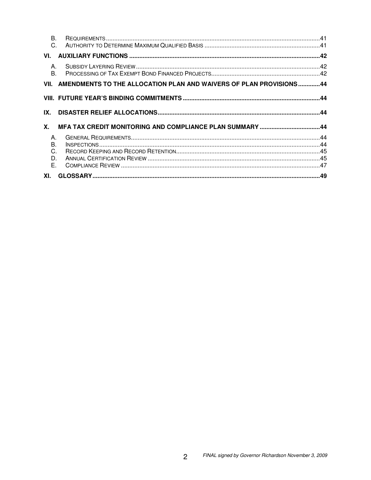| <b>B.</b><br>C.                            |                                                                         |  |
|--------------------------------------------|-------------------------------------------------------------------------|--|
| VI.                                        |                                                                         |  |
| $A_{\cdot}$<br><b>B.</b>                   |                                                                         |  |
|                                            | VII. AMENDMENTS TO THE ALLOCATION PLAN AND WAIVERS OF PLAN PROVISIONS44 |  |
|                                            |                                                                         |  |
| IX.                                        |                                                                         |  |
| Х.                                         |                                                                         |  |
| $A_{\cdot}$<br><b>B.</b><br>C.<br>D.<br>Е. |                                                                         |  |
| XI.                                        |                                                                         |  |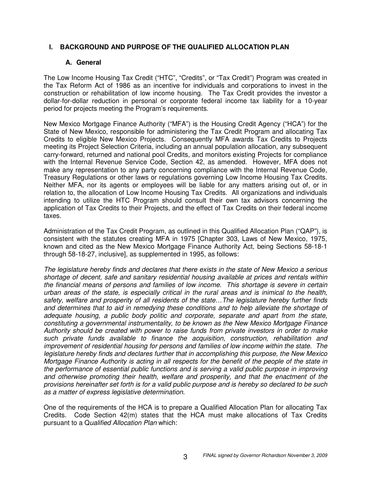# **I. BACKGROUND AND PURPOSE OF THE QUALIFIED ALLOCATION PLAN**

## **A. General**

The Low Income Housing Tax Credit ("HTC", "Credits", or "Tax Credit") Program was created in the Tax Reform Act of 1986 as an incentive for individuals and corporations to invest in the construction or rehabilitation of low income housing. The Tax Credit provides the investor a dollar-for-dollar reduction in personal or corporate federal income tax liability for a 10-year period for projects meeting the Program's requirements.

New Mexico Mortgage Finance Authority ("MFA") is the Housing Credit Agency ("HCA") for the State of New Mexico, responsible for administering the Tax Credit Program and allocating Tax Credits to eligible New Mexico Projects. Consequently MFA awards Tax Credits to Projects meeting its Project Selection Criteria, including an annual population allocation, any subsequent carry-forward, returned and national pool Credits, and monitors existing Projects for compliance with the Internal Revenue Service Code, Section 42, as amended. However, MFA does not make any representation to any party concerning compliance with the Internal Revenue Code, Treasury Regulations or other laws or regulations governing Low Income Housing Tax Credits. Neither MFA, nor its agents or employees will be liable for any matters arising out of, or in relation to, the allocation of Low Income Housing Tax Credits. All organizations and individuals intending to utilize the HTC Program should consult their own tax advisors concerning the application of Tax Credits to their Projects, and the effect of Tax Credits on their federal income taxes.

Administration of the Tax Credit Program, as outlined in this Qualified Allocation Plan ("QAP"), is consistent with the statutes creating MFA in 1975 [Chapter 303, Laws of New Mexico, 1975, known and cited as the New Mexico Mortgage Finance Authority Act, being Sections 58-18-1 through 58-18-27, inclusive], as supplemented in 1995, as follows:

*The legislature hereby finds and declares that there exists in the state of New Mexico a serious shortage of decent, safe and sanitary residential housing available at prices and rentals within the financial means of persons and families of low income. This shortage is severe in certain urban areas of the state, is especially critical in the rural areas and is inimical to the health, safety, welfare and prosperity of all residents of the state…The legislature hereby further finds and determines that to aid in remedying these conditions and to help alleviate the shortage of adequate housing, a public body politic and corporate, separate and apart from the state, constituting a governmental instrumentality, to be known as the New Mexico Mortgage Finance Authority should be created with power to raise funds from private investors in order to make such private funds available to finance the acquisition, construction, rehabilitation and improvement of residential housing for persons and families of low income within the state. The legislature hereby finds and declares further that in accomplishing this purpose, the New Mexico Mortgage Finance Authority is acting in all respects for the benefit of the people of the state in the performance of essential public functions and is serving a valid public purpose in improving and otherwise promoting their health, welfare and prosperity, and that the enactment of the* provisions hereinafter set forth is for a valid public purpose and is hereby so declared to be such *as a matter of express legislative determination.*

One of the requirements of the HCA is to prepare a Qualified Allocation Plan for allocating Tax Credits. Code Section 42(m) states that the HCA must make allocations of Tax Credits pursuant to a Q*ualified Allocation Plan* which: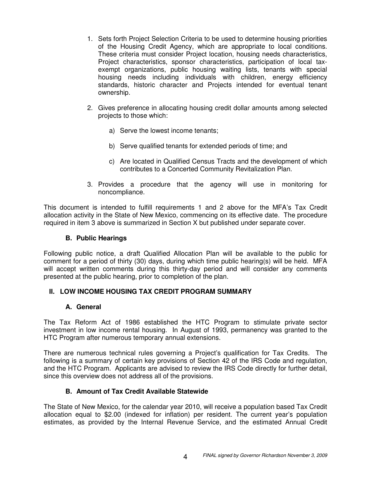- 1. Sets forth Project Selection Criteria to be used to determine housing priorities of the Housing Credit Agency, which are appropriate to local conditions. These criteria must consider Project location, housing needs characteristics, Project characteristics, sponsor characteristics, participation of local taxexempt organizations, public housing waiting lists, tenants with special housing needs including individuals with children, energy efficiency standards, historic character and Projects intended for eventual tenant ownership.
- 2. Gives preference in allocating housing credit dollar amounts among selected projects to those which:
	- a) Serve the lowest income tenants;
	- b) Serve qualified tenants for extended periods of time; and
	- c) Are located in Qualified Census Tracts and the development of which contributes to a Concerted Community Revitalization Plan.
- 3. Provides a procedure that the agency will use in monitoring for noncompliance.

This document is intended to fulfill requirements 1 and 2 above for the MFA's Tax Credit allocation activity in the State of New Mexico, commencing on its effective date. The procedure required in item 3 above is summarized in Section X but published under separate cover.

## **B. Public Hearings**

Following public notice, a draft Qualified Allocation Plan will be available to the public for comment for a period of thirty (30) days, during which time public hearing(s) will be held. MFA will accept written comments during this thirty-day period and will consider any comments presented at the public hearing, prior to completion of the plan.

# **II. LOW INCOME HOUSING TAX CREDIT PROGRAM SUMMARY**

## **A. General**

The Tax Reform Act of 1986 established the HTC Program to stimulate private sector investment in low income rental housing. In August of 1993, permanency was granted to the HTC Program after numerous temporary annual extensions.

There are numerous technical rules governing a Project's qualification for Tax Credits. The following is a summary of certain key provisions of Section 42 of the IRS Code and regulation, and the HTC Program. Applicants are advised to review the IRS Code directly for further detail, since this overview does not address all of the provisions.

## **B. Amount of Tax Credit Available Statewide**

The State of New Mexico, for the calendar year 2010, will receive a population based Tax Credit allocation equal to \$2.00 (indexed for inflation) per resident. The current year's population estimates, as provided by the Internal Revenue Service, and the estimated Annual Credit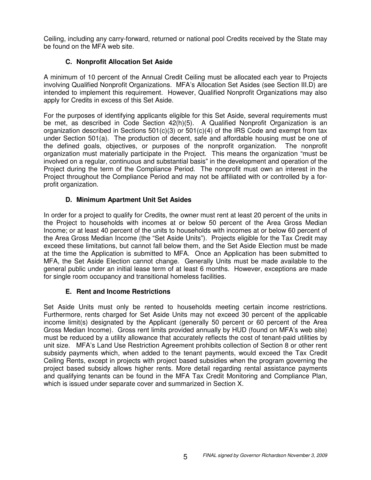Ceiling, including any carry-forward, returned or national pool Credits received by the State may be found on the MFA web site.

# **C. Nonprofit Allocation Set Aside**

A minimum of 10 percent of the Annual Credit Ceiling must be allocated each year to Projects involving Qualified Nonprofit Organizations. MFA's Allocation Set Asides (see Section III.D) are intended to implement this requirement. However, Qualified Nonprofit Organizations may also apply for Credits in excess of this Set Aside.

For the purposes of identifying applicants eligible for this Set Aside, several requirements must be met, as described in Code Section 42(h)(5). A Qualified Nonprofit Organization is an organization described in Sections  $501(c)(3)$  or  $501(c)(4)$  of the IRS Code and exempt from tax under Section 501(a). The production of decent, safe and affordable housing must be one of the defined goals, objectives, or purposes of the nonprofit organization. The nonprofit organization must materially participate in the Project. This means the organization "must be involved on a regular, continuous and substantial basis" in the development and operation of the Project during the term of the Compliance Period. The nonprofit must own an interest in the Project throughout the Compliance Period and may not be affiliated with or controlled by a forprofit organization.

# **D. Minimum Apartment Unit Set Asides**

In order for a project to qualify for Credits, the owner must rent at least 20 percent of the units in the Project to households with incomes at or below 50 percent of the Area Gross Median Income; or at least 40 percent of the units to households with incomes at or below 60 percent of the Area Gross Median Income (the "Set Aside Units"). Projects eligible for the Tax Credit may exceed these limitations, but cannot fall below them, and the Set Aside Election must be made at the time the Application is submitted to MFA. Once an Application has been submitted to MFA, the Set Aside Election cannot change. Generally Units must be made available to the general public under an initial lease term of at least 6 months. However, exceptions are made for single room occupancy and transitional homeless facilities.

# **E. Rent and Income Restrictions**

Set Aside Units must only be rented to households meeting certain income restrictions. Furthermore, rents charged for Set Aside Units may not exceed 30 percent of the applicable income limit(s) designated by the Applicant (generally 50 percent or 60 percent of the Area Gross Median Income). Gross rent limits provided annually by HUD (found on MFA's web site) must be reduced by a utility allowance that accurately reflects the cost of tenant-paid utilities by unit size. MFA's Land Use Restriction Agreement prohibits collection of Section 8 or other rent subsidy payments which, when added to the tenant payments, would exceed the Tax Credit Ceiling Rents, except in projects with project based subsidies when the program governing the project based subsidy allows higher rents. More detail regarding rental assistance payments and qualifying tenants can be found in the MFA Tax Credit Monitoring and Compliance Plan, which is issued under separate cover and summarized in Section X.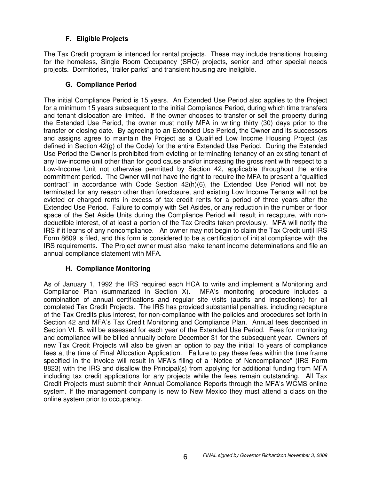# **F. Eligible Projects**

The Tax Credit program is intended for rental projects. These may include transitional housing for the homeless, Single Room Occupancy (SRO) projects, senior and other special needs projects. Dormitories, "trailer parks" and transient housing are ineligible.

# **G. Compliance Period**

The initial Compliance Period is 15 years. An Extended Use Period also applies to the Project for a minimum 15 years subsequent to the initial Compliance Period, during which time transfers and tenant dislocation are limited. If the owner chooses to transfer or sell the property during the Extended Use Period, the owner must notify MFA in writing thirty (30) days prior to the transfer or closing date. By agreeing to an Extended Use Period, the Owner and its successors and assigns agree to maintain the Project as a Qualified Low Income Housing Project (as defined in Section 42(g) of the Code) for the entire Extended Use Period. During the Extended Use Period the Owner is prohibited from evicting or terminating tenancy of an existing tenant of any low-income unit other than for good cause and/or increasing the gross rent with respect to a Low-Income Unit not otherwise permitted by Section 42, applicable throughout the entire commitment period. The Owner will not have the right to require the MFA to present a "qualified contract" in accordance with Code Section 42(h)(6), the Extended Use Period will not be terminated for any reason other than foreclosure, and existing Low Income Tenants will not be evicted or charged rents in excess of tax credit rents for a period of three years after the Extended Use Period. Failure to comply with Set Asides, or any reduction in the number or floor space of the Set Aside Units during the Compliance Period will result in recapture, with nondeductible interest, of at least a portion of the Tax Credits taken previously. MFA will notify the IRS if it learns of any noncompliance. An owner may not begin to claim the Tax Credit until IRS Form 8609 is filed, and this form is considered to be a certification of initial compliance with the IRS requirements. The Project owner must also make tenant income determinations and file an annual compliance statement with MFA.

# **H. Compliance Monitoring**

As of January 1, 1992 the IRS required each HCA to write and implement a Monitoring and Compliance Plan (summarized in Section X). MFA's monitoring procedure includes a combination of annual certifications and regular site visits (audits and inspections) for all completed Tax Credit Projects. The IRS has provided substantial penalties, including recapture of the Tax Credits plus interest, for non-compliance with the policies and procedures set forth in Section 42 and MFA's Tax Credit Monitoring and Compliance Plan. Annual fees described in Section VI. B. will be assessed for each year of the Extended Use Period. Fees for monitoring and compliance will be billed annually before December 31 for the subsequent year. Owners of new Tax Credit Projects will also be given an option to pay the initial 15 years of compliance fees at the time of Final Allocation Application. Failure to pay these fees within the time frame specified in the invoice will result in MFA's filing of a "Notice of Noncompliance" (IRS Form 8823) with the IRS and disallow the Principal(s) from applying for additional funding from MFA including tax credit applications for any projects while the fees remain outstanding. All Tax Credit Projects must submit their Annual Compliance Reports through the MFA's WCMS online system. If the management company is new to New Mexico they must attend a class on the online system prior to occupancy.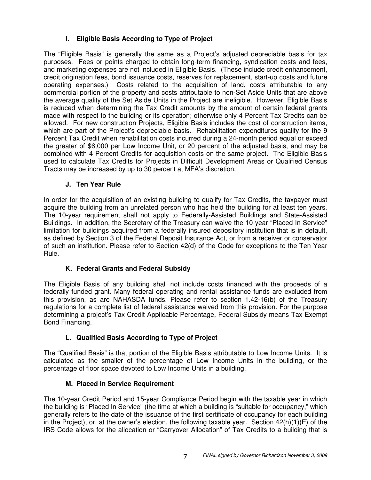# **I. Eligible Basis According to Type of Project**

The "Eligible Basis" is generally the same as a Project's adjusted depreciable basis for tax purposes. Fees or points charged to obtain long-term financing, syndication costs and fees, and marketing expenses are not included in Eligible Basis. (These include credit enhancement, credit origination fees, bond issuance costs, reserves for replacement, start-up costs and future operating expenses.) Costs related to the acquisition of land, costs attributable to any commercial portion of the property and costs attributable to non-Set Aside Units that are above the average quality of the Set Aside Units in the Project are ineligible. However, Eligible Basis is reduced when determining the Tax Credit amounts by the amount of certain federal grants made with respect to the building or its operation; otherwise only 4 Percent Tax Credits can be allowed. For new construction Projects, Eligible Basis includes the cost of construction items, which are part of the Project's depreciable basis. Rehabilitation expenditures qualify for the 9 Percent Tax Credit when rehabilitation costs incurred during a 24-month period equal or exceed the greater of \$6,000 per Low Income Unit, or 20 percent of the adjusted basis, and may be combined with 4 Percent Credits for acquisition costs on the same project. The Eligible Basis used to calculate Tax Credits for Projects in Difficult Development Areas or Qualified Census Tracts may be increased by up to 30 percent at MFA's discretion.

# **J. Ten Year Rule**

In order for the acquisition of an existing building to qualify for Tax Credits, the taxpayer must acquire the building from an unrelated person who has held the building for at least ten years. The 10-year requirement shall not apply to Federally-Assisted Buildings and State-Assisted Buildings. In addition, the Secretary of the Treasury can waive the 10-year "Placed In Service" limitation for buildings acquired from a federally insured depository institution that is in default, as defined by Section 3 of the Federal Deposit Insurance Act, or from a receiver or conservator of such an institution. Please refer to Section 42(d) of the Code for exceptions to the Ten Year Rule.

# **K. Federal Grants and Federal Subsidy**

The Eligible Basis of any building shall not include costs financed with the proceeds of a federally funded grant. Many federal operating and rental assistance funds are excluded from this provision, as are NAHASDA funds. Please refer to section 1.42-16(b) of the Treasury regulations for a complete list of federal assistance waived from this provision. For the purpose determining a project's Tax Credit Applicable Percentage, Federal Subsidy means Tax Exempt Bond Financing.

# **L. Qualified Basis According to Type of Project**

The "Qualified Basis" is that portion of the Eligible Basis attributable to Low Income Units. It is calculated as the smaller of the percentage of Low Income Units in the building, or the percentage of floor space devoted to Low Income Units in a building.

# **M. Placed In Service Requirement**

The 10-year Credit Period and 15-year Compliance Period begin with the taxable year in which the building is "Placed In Service" (the time at which a building is "suitable for occupancy," which generally refers to the date of the issuance of the first certificate of occupancy for each building in the Project), or, at the owner's election, the following taxable year. Section  $42(h)(1)(E)$  of the IRS Code allows for the allocation or "Carryover Allocation" of Tax Credits to a building that is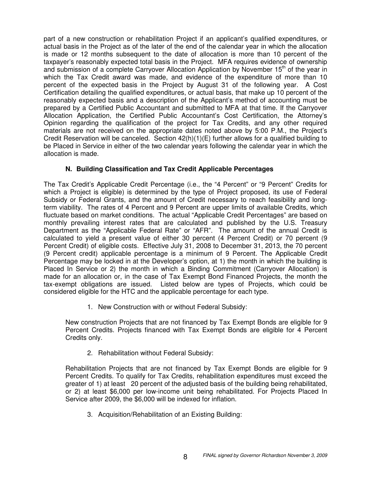part of a new construction or rehabilitation Project if an applicant's qualified expenditures, or actual basis in the Project as of the later of the end of the calendar year in which the allocation is made or 12 months subsequent to the date of allocation is more than 10 percent of the taxpayer's reasonably expected total basis in the Project. MFA requires evidence of ownership and submission of a complete Carryover Allocation Application by November 15<sup>th</sup> of the year in which the Tax Credit award was made, and evidence of the expenditure of more than 10 percent of the expected basis in the Project by August 31 of the following year. A Cost Certification detailing the qualified expenditures, or actual basis, that make up 10 percent of the reasonably expected basis and a description of the Applicant's method of accounting must be prepared by a Certified Public Accountant and submitted to MFA at that time. If the Carryover Allocation Application, the Certified Public Accountant's Cost Certification, the Attorney's Opinion regarding the qualification of the project for Tax Credits, and any other required materials are not received on the appropriate dates noted above by 5:00 P.M., the Project's Credit Reservation will be canceled. Section  $42(h)(1)(E)$  further allows for a qualified building to be Placed in Service in either of the two calendar years following the calendar year in which the allocation is made.

# **N. Building Classification and Tax Credit Applicable Percentages**

The Tax Credit's Applicable Credit Percentage (i.e., the "4 Percent" or "9 Percent" Credits for which a Project is eligible) is determined by the type of Project proposed, its use of Federal Subsidy or Federal Grants, and the amount of Credit necessary to reach feasibility and longterm viability. The rates of 4 Percent and 9 Percent are upper limits of available Credits, which fluctuate based on market conditions. The actual "Applicable Credit Percentages" are based on monthly prevailing interest rates that are calculated and published by the U.S. Treasury Department as the "Applicable Federal Rate" or "AFR". The amount of the annual Credit is calculated to yield a present value of either 30 percent (4 Percent Credit) or 70 percent (9 Percent Credit) of eligible costs. Effective July 31, 2008 to December 31, 2013, the 70 percent (9 Percent credit) applicable percentage is a minimum of 9 Percent. The Applicable Credit Percentage may be locked in at the Developer's option, at 1) the month in which the building is Placed In Service or 2) the month in which a Binding Commitment (Carryover Allocation) is made for an allocation or, in the case of Tax Exempt Bond Financed Projects, the month the tax-exempt obligations are issued. Listed below are types of Projects, which could be considered eligible for the HTC and the applicable percentage for each type.

1. New Construction with or without Federal Subsidy:

New construction Projects that are not financed by Tax Exempt Bonds are eligible for 9 Percent Credits. Projects financed with Tax Exempt Bonds are eligible for 4 Percent Credits only.

2. Rehabilitation without Federal Subsidy:

Rehabilitation Projects that are not financed by Tax Exempt Bonds are eligible for 9 Percent Credits. To qualify for Tax Credits, rehabilitation expenditures must exceed the greater of 1) at least 20 percent of the adjusted basis of the building being rehabilitated, or 2) at least \$6,000 per low-income unit being rehabilitated. For Projects Placed In Service after 2009, the \$6,000 will be indexed for inflation.

3. Acquisition/Rehabilitation of an Existing Building: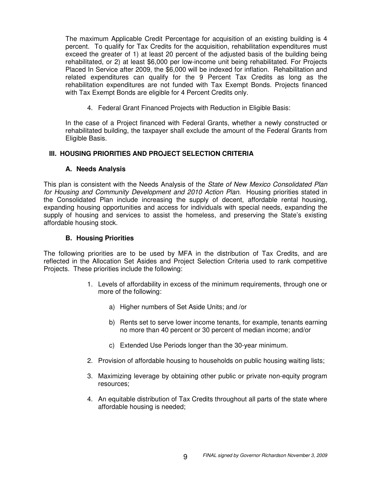The maximum Applicable Credit Percentage for acquisition of an existing building is 4 percent. To qualify for Tax Credits for the acquisition, rehabilitation expenditures must exceed the greater of 1) at least 20 percent of the adjusted basis of the building being rehabilitated, or 2) at least \$6,000 per low-income unit being rehabilitated. For Projects Placed In Service after 2009, the \$6,000 will be indexed for inflation. Rehabilitation and related expenditures can qualify for the 9 Percent Tax Credits as long as the rehabilitation expenditures are not funded with Tax Exempt Bonds. Projects financed with Tax Exempt Bonds are eligible for 4 Percent Credits only.

4. Federal Grant Financed Projects with Reduction in Eligible Basis:

In the case of a Project financed with Federal Grants, whether a newly constructed or rehabilitated building, the taxpayer shall exclude the amount of the Federal Grants from Eligible Basis.

## **III. HOUSING PRIORITIES AND PROJECT SELECTION CRITERIA**

## **A. Needs Analysis**

This plan is consistent with the Needs Analysis of the *State of New Mexico Consolidated Plan for Housing and Community Development and 2010 Action Plan.* Housing priorities stated in the Consolidated Plan include increasing the supply of decent, affordable rental housing, expanding housing opportunities and access for individuals with special needs, expanding the supply of housing and services to assist the homeless, and preserving the State's existing affordable housing stock.

## **B. Housing Priorities**

The following priorities are to be used by MFA in the distribution of Tax Credits, and are reflected in the Allocation Set Asides and Project Selection Criteria used to rank competitive Projects. These priorities include the following:

- 1. Levels of affordability in excess of the minimum requirements, through one or more of the following:
	- a) Higher numbers of Set Aside Units; and /or
	- b) Rents set to serve lower income tenants, for example, tenants earning no more than 40 percent or 30 percent of median income; and/or
	- c) Extended Use Periods longer than the 30-year minimum.
- 2. Provision of affordable housing to households on public housing waiting lists;
- 3. Maximizing leverage by obtaining other public or private non-equity program resources;
- 4. An equitable distribution of Tax Credits throughout all parts of the state where affordable housing is needed;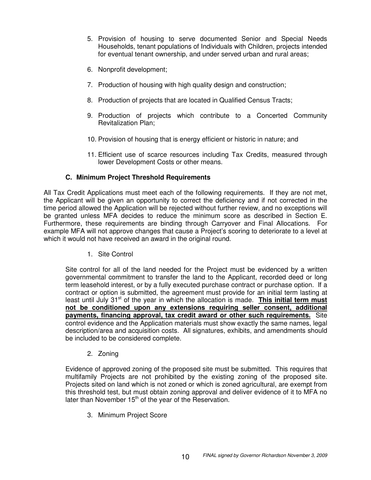- 5. Provision of housing to serve documented Senior and Special Needs Households, tenant populations of Individuals with Children, projects intended for eventual tenant ownership, and under served urban and rural areas;
- 6. Nonprofit development;
- 7. Production of housing with high quality design and construction;
- 8. Production of projects that are located in Qualified Census Tracts;
- 9. Production of projects which contribute to a Concerted Community Revitalization Plan;
- 10. Provision of housing that is energy efficient or historic in nature; and
- 11. Efficient use of scarce resources including Tax Credits, measured through lower Development Costs or other means.

## **C. Minimum Project Threshold Requirements**

All Tax Credit Applications must meet each of the following requirements. If they are not met, the Applicant will be given an opportunity to correct the deficiency and if not corrected in the time period allowed the Application will be rejected without further review, and no exceptions will be granted unless MFA decides to reduce the minimum score as described in Section E. Furthermore, these requirements are binding through Carryover and Final Allocations. For example MFA will not approve changes that cause a Project's scoring to deteriorate to a level at which it would not have received an award in the original round.

1. Site Control

Site control for all of the land needed for the Project must be evidenced by a written governmental commitment to transfer the land to the Applicant, recorded deed or long term leasehold interest, or by a fully executed purchase contract or purchase option. If a contract or option is submitted, the agreement must provide for an initial term lasting at least until July 31<sup>st</sup> of the year in which the allocation is made. This initial term must **not be conditioned upon any extensions requiring seller consent, additional payments, financing approval, tax credit award or other such requirements.** Site control evidence and the Application materials must show exactly the same names, legal description/area and acquisition costs. All signatures, exhibits, and amendments should be included to be considered complete.

2. Zoning

Evidence of approved zoning of the proposed site must be submitted. This requires that multifamily Projects are not prohibited by the existing zoning of the proposed site. Projects sited on land which is not zoned or which is zoned agricultural, are exempt from this threshold test, but must obtain zoning approval and deliver evidence of it to MFA no later than November 15<sup>th</sup> of the year of the Reservation.

3. Minimum Project Score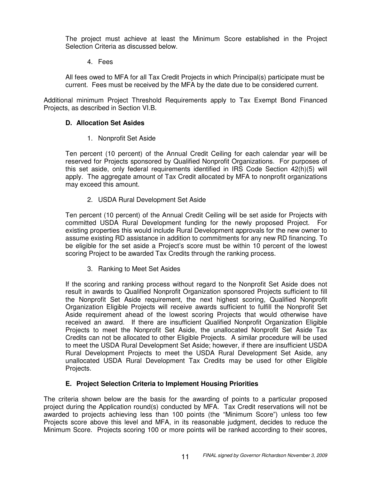The project must achieve at least the Minimum Score established in the Project Selection Criteria as discussed below.

4. Fees

All fees owed to MFA for all Tax Credit Projects in which Principal(s) participate must be current. Fees must be received by the MFA by the date due to be considered current.

Additional minimum Project Threshold Requirements apply to Tax Exempt Bond Financed Projects, as described in Section VI.B.

## **D. Allocation Set Asides**

1. Nonprofit Set Aside

Ten percent (10 percent) of the Annual Credit Ceiling for each calendar year will be reserved for Projects sponsored by Qualified Nonprofit Organizations. For purposes of this set aside, only federal requirements identified in IRS Code Section 42(h)(5) will apply. The aggregate amount of Tax Credit allocated by MFA to nonprofit organizations may exceed this amount.

2. USDA Rural Development Set Aside

Ten percent (10 percent) of the Annual Credit Ceiling will be set aside for Projects with committed USDA Rural Development funding for the newly proposed Project. For existing properties this would include Rural Development approvals for the new owner to assume existing RD assistance in addition to commitments for any new RD financing. To be eligible for the set aside a Project's score must be within 10 percent of the lowest scoring Project to be awarded Tax Credits through the ranking process.

3. Ranking to Meet Set Asides

If the scoring and ranking process without regard to the Nonprofit Set Aside does not result in awards to Qualified Nonprofit Organization sponsored Projects sufficient to fill the Nonprofit Set Aside requirement, the next highest scoring, Qualified Nonprofit Organization Eligible Projects will receive awards sufficient to fulfill the Nonprofit Set Aside requirement ahead of the lowest scoring Projects that would otherwise have received an award. If there are insufficient Qualified Nonprofit Organization Eligible Projects to meet the Nonprofit Set Aside, the unallocated Nonprofit Set Aside Tax Credits can not be allocated to other Eligible Projects. A similar procedure will be used to meet the USDA Rural Development Set Aside; however, if there are insufficient USDA Rural Development Projects to meet the USDA Rural Development Set Aside, any unallocated USDA Rural Development Tax Credits may be used for other Eligible Projects.

## **E. Project Selection Criteria to Implement Housing Priorities**

The criteria shown below are the basis for the awarding of points to a particular proposed project during the Application round(s) conducted by MFA. Tax Credit reservations will not be awarded to projects achieving less than 100 points (the "Minimum Score") unless too few Projects score above this level and MFA, in its reasonable judgment, decides to reduce the Minimum Score. Projects scoring 100 or more points will be ranked according to their scores,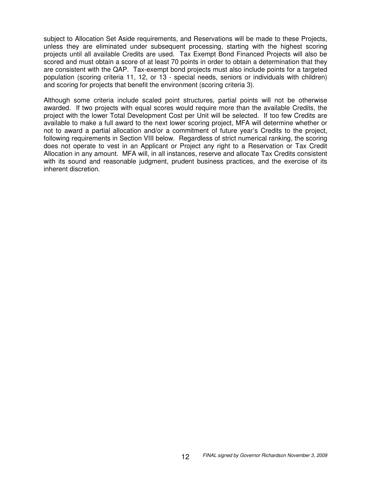subject to Allocation Set Aside requirements, and Reservations will be made to these Projects, unless they are eliminated under subsequent processing, starting with the highest scoring projects until all available Credits are used. Tax Exempt Bond Financed Projects will also be scored and must obtain a score of at least 70 points in order to obtain a determination that they are consistent with the QAP. Tax-exempt bond projects must also include points for a targeted population (scoring criteria 11, 12, or 13 - special needs, seniors or individuals with children) and scoring for projects that benefit the environment (scoring criteria 3).

Although some criteria include scaled point structures, partial points will not be otherwise awarded. If two projects with equal scores would require more than the available Credits, the project with the lower Total Development Cost per Unit will be selected. If too few Credits are available to make a full award to the next lower scoring project, MFA will determine whether or not to award a partial allocation and/or a commitment of future year's Credits to the project, following requirements in Section VIII below. Regardless of strict numerical ranking, the scoring does not operate to vest in an Applicant or Project any right to a Reservation or Tax Credit Allocation in any amount. MFA will, in all instances, reserve and allocate Tax Credits consistent with its sound and reasonable judgment, prudent business practices, and the exercise of its inherent discretion.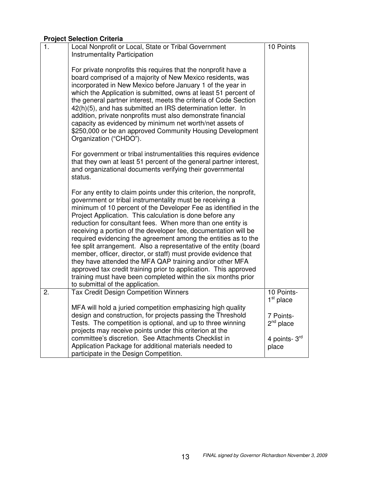# **Project Selection Criteria**

| 1. | Local Nonprofit or Local, State or Tribal Government<br><b>Instrumentality Participation</b><br>For private nonprofits this requires that the nonprofit have a<br>board comprised of a majority of New Mexico residents, was<br>incorporated in New Mexico before January 1 of the year in<br>which the Application is submitted, owns at least 51 percent of<br>the general partner interest, meets the criteria of Code Section<br>42(h)(5), and has submitted an IRS determination letter. In<br>addition, private nonprofits must also demonstrate financial<br>capacity as evidenced by minimum net worth/net assets of<br>\$250,000 or be an approved Community Housing Development<br>Organization ("CHDO").<br>For government or tribal instrumentalities this requires evidence<br>that they own at least 51 percent of the general partner interest,<br>and organizational documents verifying their governmental<br>status.<br>For any entity to claim points under this criterion, the nonprofit,<br>government or tribal instrumentality must be receiving a<br>minimum of 10 percent of the Developer Fee as identified in the<br>Project Application. This calculation is done before any<br>reduction for consultant fees. When more than one entity is<br>receiving a portion of the developer fee, documentation will be<br>required evidencing the agreement among the entities as to the<br>fee split arrangement. Also a representative of the entity (board<br>member, officer, director, or staff) must provide evidence that<br>they have attended the MFA QAP training and/or other MFA<br>approved tax credit training prior to application. This approved<br>training must have been completed within the six months prior<br>to submittal of the application. | 10 Points                 |
|----|-------------------------------------------------------------------------------------------------------------------------------------------------------------------------------------------------------------------------------------------------------------------------------------------------------------------------------------------------------------------------------------------------------------------------------------------------------------------------------------------------------------------------------------------------------------------------------------------------------------------------------------------------------------------------------------------------------------------------------------------------------------------------------------------------------------------------------------------------------------------------------------------------------------------------------------------------------------------------------------------------------------------------------------------------------------------------------------------------------------------------------------------------------------------------------------------------------------------------------------------------------------------------------------------------------------------------------------------------------------------------------------------------------------------------------------------------------------------------------------------------------------------------------------------------------------------------------------------------------------------------------------------------------------------------------------------------------------------------------------------------------------------------------------------|---------------------------|
| 2. | <b>Tax Credit Design Competition Winners</b>                                                                                                                                                                                                                                                                                                                                                                                                                                                                                                                                                                                                                                                                                                                                                                                                                                                                                                                                                                                                                                                                                                                                                                                                                                                                                                                                                                                                                                                                                                                                                                                                                                                                                                                                              | 10 Points-<br>$1st$ place |
|    | MFA will hold a juried competition emphasizing high quality                                                                                                                                                                                                                                                                                                                                                                                                                                                                                                                                                                                                                                                                                                                                                                                                                                                                                                                                                                                                                                                                                                                                                                                                                                                                                                                                                                                                                                                                                                                                                                                                                                                                                                                               |                           |
|    | design and construction, for projects passing the Threshold<br>Tests. The competition is optional, and up to three winning                                                                                                                                                                                                                                                                                                                                                                                                                                                                                                                                                                                                                                                                                                                                                                                                                                                                                                                                                                                                                                                                                                                                                                                                                                                                                                                                                                                                                                                                                                                                                                                                                                                                | 7 Points-<br>$2nd$ place  |
|    | projects may receive points under this criterion at the                                                                                                                                                                                                                                                                                                                                                                                                                                                                                                                                                                                                                                                                                                                                                                                                                                                                                                                                                                                                                                                                                                                                                                                                                                                                                                                                                                                                                                                                                                                                                                                                                                                                                                                                   |                           |
|    | committee's discretion. See Attachments Checklist in                                                                                                                                                                                                                                                                                                                                                                                                                                                                                                                                                                                                                                                                                                                                                                                                                                                                                                                                                                                                                                                                                                                                                                                                                                                                                                                                                                                                                                                                                                                                                                                                                                                                                                                                      | 4 points- 3rd             |
|    | Application Package for additional materials needed to                                                                                                                                                                                                                                                                                                                                                                                                                                                                                                                                                                                                                                                                                                                                                                                                                                                                                                                                                                                                                                                                                                                                                                                                                                                                                                                                                                                                                                                                                                                                                                                                                                                                                                                                    | place                     |
|    | participate in the Design Competition.                                                                                                                                                                                                                                                                                                                                                                                                                                                                                                                                                                                                                                                                                                                                                                                                                                                                                                                                                                                                                                                                                                                                                                                                                                                                                                                                                                                                                                                                                                                                                                                                                                                                                                                                                    |                           |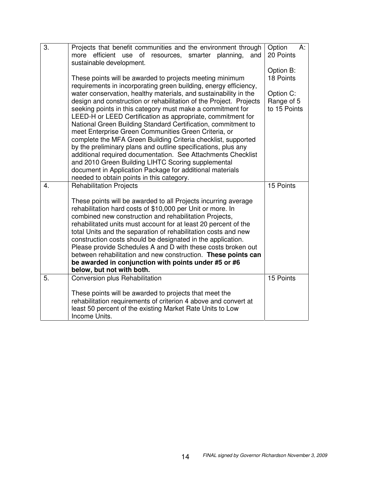| 3. | Projects that benefit communities and the environment through<br>more efficient use<br>of<br>resources, smarter planning,<br>and<br>sustainable development.<br>These points will be awarded to projects meeting minimum<br>requirements in incorporating green building, energy efficiency,                                                                                                                                                                                                                                                                                                                                                                                                                                                                  | Option<br>A:<br>20 Points<br>Option B:<br>18 Points |
|----|---------------------------------------------------------------------------------------------------------------------------------------------------------------------------------------------------------------------------------------------------------------------------------------------------------------------------------------------------------------------------------------------------------------------------------------------------------------------------------------------------------------------------------------------------------------------------------------------------------------------------------------------------------------------------------------------------------------------------------------------------------------|-----------------------------------------------------|
|    | water conservation, healthy materials, and sustainability in the<br>design and construction or rehabilitation of the Project. Projects<br>seeking points in this category must make a commitment for<br>LEED-H or LEED Certification as appropriate, commitment for<br>National Green Building Standard Certification, commitment to<br>meet Enterprise Green Communities Green Criteria, or<br>complete the MFA Green Building Criteria checklist, supported<br>by the preliminary plans and outline specifications, plus any<br>additional required documentation. See Attachments Checklist<br>and 2010 Green Building LIHTC Scoring supplemental<br>document in Application Package for additional materials<br>needed to obtain points in this category. | Option C:<br>Range of 5<br>to 15 Points             |
| 4. | <b>Rehabilitation Projects</b>                                                                                                                                                                                                                                                                                                                                                                                                                                                                                                                                                                                                                                                                                                                                | 15 Points                                           |
|    | These points will be awarded to all Projects incurring average<br>rehabilitation hard costs of \$10,000 per Unit or more. In<br>combined new construction and rehabilitation Projects,<br>rehabilitated units must account for at least 20 percent of the<br>total Units and the separation of rehabilitation costs and new<br>construction costs should be designated in the application.<br>Please provide Schedules A and D with these costs broken out<br>between rehabilitation and new construction. These points can<br>be awarded in conjunction with points under #5 or #6<br>below, but not with both.                                                                                                                                              |                                                     |
| 5. | Conversion plus Rehabilitation                                                                                                                                                                                                                                                                                                                                                                                                                                                                                                                                                                                                                                                                                                                                | 15 Points                                           |
|    | These points will be awarded to projects that meet the<br>rehabilitation requirements of criterion 4 above and convert at<br>least 50 percent of the existing Market Rate Units to Low<br>Income Units.                                                                                                                                                                                                                                                                                                                                                                                                                                                                                                                                                       |                                                     |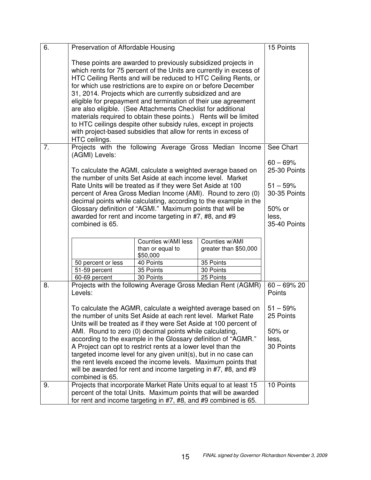| 6. | Preservation of Affordable Housing                                                                                                                                                                                                                                                                                                                                                                                                                                                                                                                                                                                                                                                                |                                                                                                                                                                                                        |                                                              | 15 Points                |
|----|---------------------------------------------------------------------------------------------------------------------------------------------------------------------------------------------------------------------------------------------------------------------------------------------------------------------------------------------------------------------------------------------------------------------------------------------------------------------------------------------------------------------------------------------------------------------------------------------------------------------------------------------------------------------------------------------------|--------------------------------------------------------------------------------------------------------------------------------------------------------------------------------------------------------|--------------------------------------------------------------|--------------------------|
|    | These points are awarded to previously subsidized projects in<br>which rents for 75 percent of the Units are currently in excess of<br>HTC Ceiling Rents and will be reduced to HTC Ceiling Rents, or<br>for which use restrictions are to expire on or before December<br>31, 2014. Projects which are currently subsidized and are<br>eligible for prepayment and termination of their use agreement<br>are also eligible. (See Attachments Checklist for additional<br>materials required to obtain these points.) Rents will be limited<br>to HTC ceilings despite other subsidy rules, except in projects<br>with project-based subsidies that allow for rents in excess of<br>HTC ceilings. |                                                                                                                                                                                                        |                                                              |                          |
| 7. |                                                                                                                                                                                                                                                                                                                                                                                                                                                                                                                                                                                                                                                                                                   |                                                                                                                                                                                                        | Projects with the following Average Gross Median Income      | See Chart                |
|    | (AGMI) Levels:<br>To calculate the AGMI, calculate a weighted average based on<br>the number of units Set Aside at each income level. Market<br>Rate Units will be treated as if they were Set Aside at 100<br>percent of Area Gross Median Income (AMI). Round to zero (0)<br>decimal points while calculating, according to the example in the<br>Glossary definition of "AGMI." Maximum points that will be<br>awarded for rent and income targeting in #7, #8, and #9<br>combined is 65.                                                                                                                                                                                                      |                                                                                                                                                                                                        |                                                              |                          |
|    |                                                                                                                                                                                                                                                                                                                                                                                                                                                                                                                                                                                                                                                                                                   | Counties w/AMI less<br>than or equal to<br>\$50,000                                                                                                                                                    | Counties w/AMI<br>greater than \$50,000                      |                          |
|    | 50 percent or less                                                                                                                                                                                                                                                                                                                                                                                                                                                                                                                                                                                                                                                                                | 40 Points                                                                                                                                                                                              | 35 Points                                                    |                          |
|    | 51-59 percent                                                                                                                                                                                                                                                                                                                                                                                                                                                                                                                                                                                                                                                                                     | 35 Points                                                                                                                                                                                              | 30 Points                                                    |                          |
|    | 60-69 percent                                                                                                                                                                                                                                                                                                                                                                                                                                                                                                                                                                                                                                                                                     | 30 Points                                                                                                                                                                                              | 25 Points                                                    |                          |
| 8. | Levels:                                                                                                                                                                                                                                                                                                                                                                                                                                                                                                                                                                                                                                                                                           |                                                                                                                                                                                                        | Projects with the following Average Gross Median Rent (AGMR) | $60 - 69\% 20$<br>Points |
|    | To calculate the AGMR, calculate a weighted average based on<br>the number of units Set Aside at each rent level. Market Rate<br>Units will be treated as if they were Set Aside at 100 percent of<br>AMI. Round to zero (0) decimal points while calculating,<br>according to the example in the Glossary definition of "AGMR."<br>A Project can opt to restrict rents at a lower level than the<br>targeted income level for any given unit(s), but in no case can<br>the rent levels exceed the income levels. Maximum points that<br>will be awarded for rent and income targeting in #7, #8, and #9<br>combined is 65.                                                                       | $51 - 59%$<br>25 Points<br>50% or<br>less,<br>30 Points                                                                                                                                                |                                                              |                          |
| 9. |                                                                                                                                                                                                                                                                                                                                                                                                                                                                                                                                                                                                                                                                                                   | Projects that incorporate Market Rate Units equal to at least 15<br>percent of the total Units. Maximum points that will be awarded<br>for rent and income targeting in #7, #8, and #9 combined is 65. |                                                              | 10 Points                |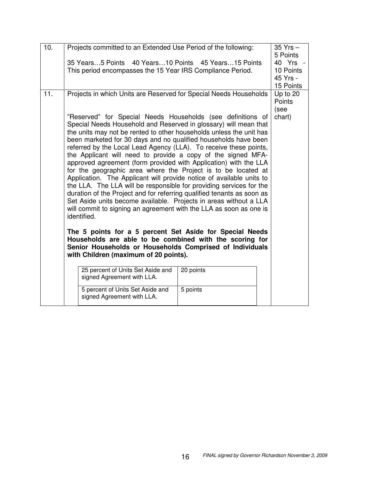| 10. | Projects committed to an Extended Use Period of the following:                                                                                                                                                                                                                                                                                                                                                                                                                                                                                                                                                                                                                                                                                                                                                                                                                                                                                                                                                                                                          |           | $35$ Yrs $-$<br>5 Points                       |
|-----|-------------------------------------------------------------------------------------------------------------------------------------------------------------------------------------------------------------------------------------------------------------------------------------------------------------------------------------------------------------------------------------------------------------------------------------------------------------------------------------------------------------------------------------------------------------------------------------------------------------------------------------------------------------------------------------------------------------------------------------------------------------------------------------------------------------------------------------------------------------------------------------------------------------------------------------------------------------------------------------------------------------------------------------------------------------------------|-----------|------------------------------------------------|
|     | 35 Years5 Points 40 Years10 Points 45 Years15 Points<br>This period encompasses the 15 Year IRS Compliance Period.                                                                                                                                                                                                                                                                                                                                                                                                                                                                                                                                                                                                                                                                                                                                                                                                                                                                                                                                                      |           | 40 Yrs -<br>10 Points<br>45 Yrs -<br>15 Points |
| 11. | Projects in which Units are Reserved for Special Needs Households<br>"Reserved" for Special Needs Households (see definitions of<br>Special Needs Household and Reserved in glossary) will mean that<br>the units may not be rented to other households unless the unit has<br>been marketed for 30 days and no qualified households have been<br>referred by the Local Lead Agency (LLA). To receive these points,<br>the Applicant will need to provide a copy of the signed MFA-<br>approved agreement (form provided with Application) with the LLA<br>for the geographic area where the Project is to be located at<br>Application. The Applicant will provide notice of available units to<br>the LLA. The LLA will be responsible for providing services for the<br>duration of the Project and for referring qualified tenants as soon as<br>Set Aside units become available. Projects in areas without a LLA<br>will commit to signing an agreement with the LLA as soon as one is<br>identified.<br>The 5 points for a 5 percent Set Aside for Special Needs |           | Up to 20<br>Points<br>(see<br>chart)           |
|     | Households are able to be combined with the scoring for<br>Senior Households or Households Comprised of Individuals<br>with Children (maximum of 20 points).                                                                                                                                                                                                                                                                                                                                                                                                                                                                                                                                                                                                                                                                                                                                                                                                                                                                                                            |           |                                                |
|     | 25 percent of Units Set Aside and<br>signed Agreement with LLA.                                                                                                                                                                                                                                                                                                                                                                                                                                                                                                                                                                                                                                                                                                                                                                                                                                                                                                                                                                                                         | 20 points |                                                |
|     | 5 percent of Units Set Aside and<br>signed Agreement with LLA.                                                                                                                                                                                                                                                                                                                                                                                                                                                                                                                                                                                                                                                                                                                                                                                                                                                                                                                                                                                                          | 5 points  |                                                |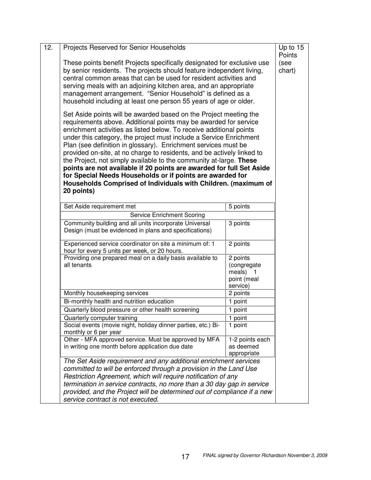| 12. | Projects Reserved for Senior Households                                                                                                                                                                                                                                                                                                                                                                                                                                                                                                                                                                                                                                                                                   |                                                                | Up to 15<br>Points |
|-----|---------------------------------------------------------------------------------------------------------------------------------------------------------------------------------------------------------------------------------------------------------------------------------------------------------------------------------------------------------------------------------------------------------------------------------------------------------------------------------------------------------------------------------------------------------------------------------------------------------------------------------------------------------------------------------------------------------------------------|----------------------------------------------------------------|--------------------|
|     | These points benefit Projects specifically designated for exclusive use<br>by senior residents. The projects should feature independent living,<br>central common areas that can be used for resident activities and<br>serving meals with an adjoining kitchen area, and an appropriate<br>management arrangement. "Senior Household" is defined as a<br>household including at least one person 55 years of age or older.                                                                                                                                                                                                                                                                                               | (see<br>chart)                                                 |                    |
|     | Set Aside points will be awarded based on the Project meeting the<br>requirements above. Additional points may be awarded for service<br>enrichment activities as listed below. To receive additional points<br>under this category, the project must include a Service Enrichment<br>Plan (see definition in glossary). Enrichment services must be<br>provided on-site, at no charge to residents, and be actively linked to<br>the Project, not simply available to the community at-large. These<br>points are not available if 20 points are awarded for full Set Aside<br>for Special Needs Households or if points are awarded for<br>Households Comprised of Individuals with Children. (maximum of<br>20 points) |                                                                |                    |
|     | Set Aside requirement met                                                                                                                                                                                                                                                                                                                                                                                                                                                                                                                                                                                                                                                                                                 | 5 points                                                       |                    |
|     | Service Enrichment Scoring                                                                                                                                                                                                                                                                                                                                                                                                                                                                                                                                                                                                                                                                                                |                                                                |                    |
|     | Community building and all units incorporate Universal<br>Design (must be evidenced in plans and specifications)                                                                                                                                                                                                                                                                                                                                                                                                                                                                                                                                                                                                          | 3 points                                                       |                    |
|     | Experienced service coordinator on site a minimum of: 1<br>hour for every 5 units per week, or 20 hours.                                                                                                                                                                                                                                                                                                                                                                                                                                                                                                                                                                                                                  | 2 points                                                       |                    |
|     | Providing one prepared meal on a daily basis available to<br>all tenants                                                                                                                                                                                                                                                                                                                                                                                                                                                                                                                                                                                                                                                  | 2 points<br>(congregate<br>meals) 1<br>point (meal<br>service) |                    |
|     | Monthly housekeeping services                                                                                                                                                                                                                                                                                                                                                                                                                                                                                                                                                                                                                                                                                             | 2 points                                                       |                    |
|     | Bi-monthly health and nutrition education                                                                                                                                                                                                                                                                                                                                                                                                                                                                                                                                                                                                                                                                                 | 1 point                                                        |                    |
|     | Quarterly blood pressure or other health screening                                                                                                                                                                                                                                                                                                                                                                                                                                                                                                                                                                                                                                                                        | 1 point                                                        |                    |
|     | Quarterly computer training                                                                                                                                                                                                                                                                                                                                                                                                                                                                                                                                                                                                                                                                                               | 1 point                                                        |                    |
|     | Social events (movie night, holiday dinner parties, etc.) Bi-<br>monthly or 6 per year                                                                                                                                                                                                                                                                                                                                                                                                                                                                                                                                                                                                                                    | 1 point                                                        |                    |
|     | Other - MFA approved service. Must be approved by MFA                                                                                                                                                                                                                                                                                                                                                                                                                                                                                                                                                                                                                                                                     | 1-2 points each                                                |                    |
|     | in writing one month before application due date                                                                                                                                                                                                                                                                                                                                                                                                                                                                                                                                                                                                                                                                          | as deemed<br>appropriate                                       |                    |
|     |                                                                                                                                                                                                                                                                                                                                                                                                                                                                                                                                                                                                                                                                                                                           |                                                                |                    |
|     | The Set Aside requirement and any additional enrichment services<br>committed to will be enforced through a provision in the Land Use                                                                                                                                                                                                                                                                                                                                                                                                                                                                                                                                                                                     |                                                                |                    |
|     | Restriction Agreement, which will require notification of any                                                                                                                                                                                                                                                                                                                                                                                                                                                                                                                                                                                                                                                             |                                                                |                    |
|     | termination in service contracts, no more than a 30 day gap in service<br>provided, and the Project will be determined out of compliance if a new<br>service contract is not executed.                                                                                                                                                                                                                                                                                                                                                                                                                                                                                                                                    |                                                                |                    |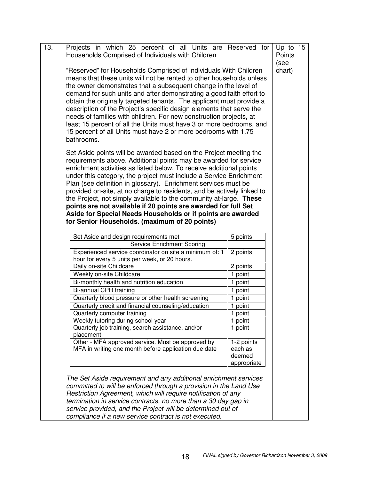| 13. | Projects in which 25 percent of all Units are Reserved for Up to 15<br>Households Comprised of Individuals with Children                                                                                                                                                                                                                                                                                                                                                                                                                                                                                                                                                               |                                                | Points<br>(see |
|-----|----------------------------------------------------------------------------------------------------------------------------------------------------------------------------------------------------------------------------------------------------------------------------------------------------------------------------------------------------------------------------------------------------------------------------------------------------------------------------------------------------------------------------------------------------------------------------------------------------------------------------------------------------------------------------------------|------------------------------------------------|----------------|
|     | "Reserved" for Households Comprised of Individuals With Children<br>means that these units will not be rented to other households unless<br>the owner demonstrates that a subsequent change in the level of<br>demand for such units and after demonstrating a good faith effort to<br>obtain the originally targeted tenants. The applicant must provide a<br>description of the Project's specific design elements that serve the<br>needs of families with children. For new construction projects, at<br>least 15 percent of all the Units must have 3 or more bedrooms, and<br>15 percent of all Units must have 2 or more bedrooms with 1.75<br>bathrooms.                       |                                                | chart)         |
|     | Set Aside points will be awarded based on the Project meeting the<br>requirements above. Additional points may be awarded for service<br>enrichment activities as listed below. To receive additional points<br>under this category, the project must include a Service Enrichment<br>Plan (see definition in glossary). Enrichment services must be<br>provided on-site, at no charge to residents, and be actively linked to<br>the Project, not simply available to the community at-large. These<br>points are not available if 20 points are awarded for full Set<br>Aside for Special Needs Households or if points are awarded<br>for Senior Households. (maximum of 20 points) |                                                |                |
|     | Set Aside and design requirements met                                                                                                                                                                                                                                                                                                                                                                                                                                                                                                                                                                                                                                                  | 5 points                                       |                |
|     | <b>Service Enrichment Scoring</b>                                                                                                                                                                                                                                                                                                                                                                                                                                                                                                                                                                                                                                                      |                                                |                |
|     | Experienced service coordinator on site a minimum of: 1<br>hour for every 5 units per week, or 20 hours.                                                                                                                                                                                                                                                                                                                                                                                                                                                                                                                                                                               | 2 points                                       |                |
|     | Daily on-site Childcare                                                                                                                                                                                                                                                                                                                                                                                                                                                                                                                                                                                                                                                                | 2 points                                       |                |
|     | Weekly on-site Childcare                                                                                                                                                                                                                                                                                                                                                                                                                                                                                                                                                                                                                                                               | 1 point                                        |                |
|     | Bi-monthly health and nutrition education                                                                                                                                                                                                                                                                                                                                                                                                                                                                                                                                                                                                                                              | 1 point                                        |                |
|     | Bi-annual CPR training                                                                                                                                                                                                                                                                                                                                                                                                                                                                                                                                                                                                                                                                 | 1 point                                        |                |
|     | Quarterly blood pressure or other health screening                                                                                                                                                                                                                                                                                                                                                                                                                                                                                                                                                                                                                                     | 1 point                                        |                |
|     | Quarterly credit and financial counseling/education                                                                                                                                                                                                                                                                                                                                                                                                                                                                                                                                                                                                                                    | 1 point                                        |                |
|     | Quarterly computer training                                                                                                                                                                                                                                                                                                                                                                                                                                                                                                                                                                                                                                                            | 1 point                                        |                |
|     | Weekly tutoring during school year<br>Quarterly job training, search assistance, and/or<br>placement                                                                                                                                                                                                                                                                                                                                                                                                                                                                                                                                                                                   | 1 point<br>1 point                             |                |
|     | Other - MFA approved service. Must be approved by<br>MFA in writing one month before application due date                                                                                                                                                                                                                                                                                                                                                                                                                                                                                                                                                                              | 1-2 points<br>each as<br>deemed<br>appropriate |                |
|     | The Set Aside requirement and any additional enrichment services<br>committed to will be enforced through a provision in the Land Use<br>Restriction Agreement, which will require notification of any<br>termination in service contracts, no more than a 30 day gap in                                                                                                                                                                                                                                                                                                                                                                                                               |                                                |                |

*service provided, and the Project will be determined out of compliance if a new service contract is not executed.*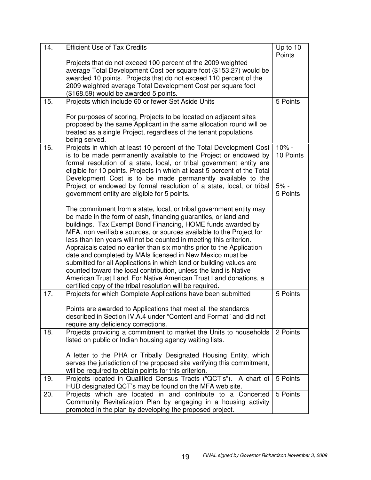| 14. | <b>Efficient Use of Tax Credits</b>                                                                                                                                                                                                                                                                                                                                                                                                                                                                                                                                                                                                                                                                                                                                 | Up to 10<br>Points   |
|-----|---------------------------------------------------------------------------------------------------------------------------------------------------------------------------------------------------------------------------------------------------------------------------------------------------------------------------------------------------------------------------------------------------------------------------------------------------------------------------------------------------------------------------------------------------------------------------------------------------------------------------------------------------------------------------------------------------------------------------------------------------------------------|----------------------|
|     | Projects that do not exceed 100 percent of the 2009 weighted<br>average Total Development Cost per square foot (\$153.27) would be<br>awarded 10 points. Projects that do not exceed 110 percent of the                                                                                                                                                                                                                                                                                                                                                                                                                                                                                                                                                             |                      |
|     | 2009 weighted average Total Development Cost per square foot<br>(\$168.59) would be awarded 5 points.                                                                                                                                                                                                                                                                                                                                                                                                                                                                                                                                                                                                                                                               |                      |
| 15. | Projects which include 60 or fewer Set Aside Units                                                                                                                                                                                                                                                                                                                                                                                                                                                                                                                                                                                                                                                                                                                  | 5 Points             |
|     | For purposes of scoring, Projects to be located on adjacent sites<br>proposed by the same Applicant in the same allocation round will be<br>treated as a single Project, regardless of the tenant populations<br>being served.                                                                                                                                                                                                                                                                                                                                                                                                                                                                                                                                      |                      |
| 16. | Projects in which at least 10 percent of the Total Development Cost<br>is to be made permanently available to the Project or endowed by<br>formal resolution of a state, local, or tribal government entity are<br>eligible for 10 points. Projects in which at least 5 percent of the Total<br>Development Cost is to be made permanently available to the                                                                                                                                                                                                                                                                                                                                                                                                         | $10% -$<br>10 Points |
|     | Project or endowed by formal resolution of a state, local, or tribal<br>government entity are eligible for 5 points.                                                                                                                                                                                                                                                                                                                                                                                                                                                                                                                                                                                                                                                | $5% -$<br>5 Points   |
|     | The commitment from a state, local, or tribal government entity may<br>be made in the form of cash, financing guaranties, or land and<br>buildings. Tax Exempt Bond Financing, HOME funds awarded by<br>MFA, non verifiable sources, or sources available to the Project for<br>less than ten years will not be counted in meeting this criterion.<br>Appraisals dated no earlier than six months prior to the Application<br>date and completed by MAIs licensed in New Mexico must be<br>submitted for all Applications in which land or building values are<br>counted toward the local contribution, unless the land is Native<br>American Trust Land. For Native American Trust Land donations, a<br>certified copy of the tribal resolution will be required. |                      |
| 17. | Projects for which Complete Applications have been submitted<br>Points are awarded to Applications that meet all the standards<br>described in Section IV.A.4 under "Content and Format" and did not                                                                                                                                                                                                                                                                                                                                                                                                                                                                                                                                                                | 5 Points             |
| 18. | require any deficiency corrections.<br>Projects providing a commitment to market the Units to households                                                                                                                                                                                                                                                                                                                                                                                                                                                                                                                                                                                                                                                            | 2 Points             |
|     | listed on public or Indian housing agency waiting lists.<br>A letter to the PHA or Tribally Designated Housing Entity, which<br>serves the jurisdiction of the proposed site verifying this commitment,<br>will be required to obtain points for this criterion.                                                                                                                                                                                                                                                                                                                                                                                                                                                                                                    |                      |
| 19. | Projects located in Qualified Census Tracts ("QCT's"). A chart of<br>HUD designated QCT's may be found on the MFA web site.                                                                                                                                                                                                                                                                                                                                                                                                                                                                                                                                                                                                                                         | 5 Points             |
| 20. | Projects which are located in and contribute to a Concerted<br>Community Revitalization Plan by engaging in a housing activity<br>promoted in the plan by developing the proposed project.                                                                                                                                                                                                                                                                                                                                                                                                                                                                                                                                                                          | 5 Points             |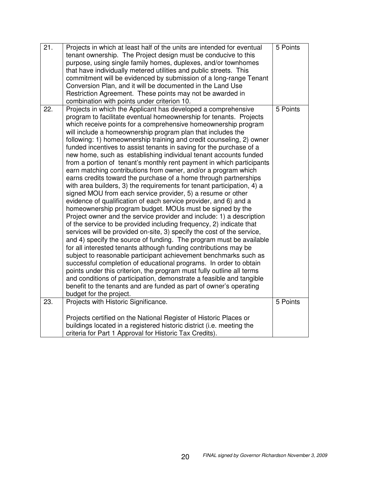| 21. | Projects in which at least half of the units are intended for eventual<br>tenant ownership. The Project design must be conducive to this<br>purpose, using single family homes, duplexes, and/or townhomes<br>that have individually metered utilities and public streets. This<br>commitment will be evidenced by submission of a long-range Tenant<br>Conversion Plan, and it will be documented in the Land Use<br>Restriction Agreement. These points may not be awarded in<br>combination with points under criterion 10.                                                                                                                                                                                                                                                                                                                                                                                                                                                                                                                                                                                                                                                                                                                                                                                                                                                                                                                                                                                                                                                                                                                                                                                                                 | 5 Points |
|-----|------------------------------------------------------------------------------------------------------------------------------------------------------------------------------------------------------------------------------------------------------------------------------------------------------------------------------------------------------------------------------------------------------------------------------------------------------------------------------------------------------------------------------------------------------------------------------------------------------------------------------------------------------------------------------------------------------------------------------------------------------------------------------------------------------------------------------------------------------------------------------------------------------------------------------------------------------------------------------------------------------------------------------------------------------------------------------------------------------------------------------------------------------------------------------------------------------------------------------------------------------------------------------------------------------------------------------------------------------------------------------------------------------------------------------------------------------------------------------------------------------------------------------------------------------------------------------------------------------------------------------------------------------------------------------------------------------------------------------------------------|----------|
| 22. | Projects in which the Applicant has developed a comprehensive<br>program to facilitate eventual homeownership for tenants. Projects<br>which receive points for a comprehensive homeownership program<br>will include a homeownership program plan that includes the<br>following: 1) homeownership training and credit counseling, 2) owner<br>funded incentives to assist tenants in saving for the purchase of a<br>new home, such as establishing individual tenant accounts funded<br>from a portion of tenant's monthly rent payment in which participants<br>earn matching contributions from owner, and/or a program which<br>earns credits toward the purchase of a home through partnerships<br>with area builders, 3) the requirements for tenant participation, 4) a<br>signed MOU from each service provider, 5) a resume or other<br>evidence of qualification of each service provider, and 6) and a<br>homeownership program budget. MOUs must be signed by the<br>Project owner and the service provider and include: 1) a description<br>of the service to be provided including frequency, 2) indicate that<br>services will be provided on-site, 3) specify the cost of the service,<br>and 4) specify the source of funding. The program must be available<br>for all interested tenants although funding contributions may be<br>subject to reasonable participant achievement benchmarks such as<br>successful completion of educational programs. In order to obtain<br>points under this criterion, the program must fully outline all terms<br>and conditions of participation, demonstrate a feasible and tangible<br>benefit to the tenants and are funded as part of owner's operating<br>budget for the project. | 5 Points |
| 23. | Projects with Historic Significance.                                                                                                                                                                                                                                                                                                                                                                                                                                                                                                                                                                                                                                                                                                                                                                                                                                                                                                                                                                                                                                                                                                                                                                                                                                                                                                                                                                                                                                                                                                                                                                                                                                                                                                           | 5 Points |
|     | Projects certified on the National Register of Historic Places or<br>buildings located in a registered historic district (i.e. meeting the<br>criteria for Part 1 Approval for Historic Tax Credits).                                                                                                                                                                                                                                                                                                                                                                                                                                                                                                                                                                                                                                                                                                                                                                                                                                                                                                                                                                                                                                                                                                                                                                                                                                                                                                                                                                                                                                                                                                                                          |          |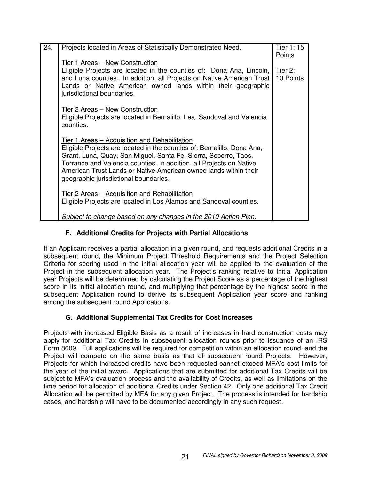| 24. | Projects located in Areas of Statistically Demonstrated Need.                                                                                                                                                                                                                                                                                                                          | Tier $1:15$<br>Points |
|-----|----------------------------------------------------------------------------------------------------------------------------------------------------------------------------------------------------------------------------------------------------------------------------------------------------------------------------------------------------------------------------------------|-----------------------|
|     | Tier 1 Areas - New Construction                                                                                                                                                                                                                                                                                                                                                        |                       |
|     | Eligible Projects are located in the counties of: Dona Ana, Lincoln,<br>and Luna counties. In addition, all Projects on Native American Trust<br>Lands or Native American owned lands within their geographic<br>jurisdictional boundaries.                                                                                                                                            | Tier 2:<br>10 Points  |
|     | Tier 2 Areas - New Construction<br>Eligible Projects are located in Bernalillo, Lea, Sandoval and Valencia<br>counties.                                                                                                                                                                                                                                                                |                       |
|     | <u>Tier 1 Areas – Acquisition and Rehabilitation</u><br>Eligible Projects are located in the counties of: Bernalillo, Dona Ana,<br>Grant, Luna, Quay, San Miguel, Santa Fe, Sierra, Socorro, Taos,<br>Torrance and Valencia counties. In addition, all Projects on Native<br>American Trust Lands or Native American owned lands within their<br>geographic jurisdictional boundaries. |                       |
|     | <u>Tier 2 Areas – Acquisition and Rehabilitation</u><br>Eligible Projects are located in Los Alamos and Sandoval counties.                                                                                                                                                                                                                                                             |                       |
|     | Subject to change based on any changes in the 2010 Action Plan.                                                                                                                                                                                                                                                                                                                        |                       |

# **F. Additional Credits for Projects with Partial Allocations**

If an Applicant receives a partial allocation in a given round, and requests additional Credits in a subsequent round, the Minimum Project Threshold Requirements and the Project Selection Criteria for scoring used in the initial allocation year will be applied to the evaluation of the Project in the subsequent allocation year. The Project's ranking relative to Initial Application year Projects will be determined by calculating the Project Score as a percentage of the highest score in its initial allocation round, and multiplying that percentage by the highest score in the subsequent Application round to derive its subsequent Application year score and ranking among the subsequent round Applications.

# **G. Additional Supplemental Tax Credits for Cost Increases**

Projects with increased Eligible Basis as a result of increases in hard construction costs may apply for additional Tax Credits in subsequent allocation rounds prior to issuance of an IRS Form 8609. Full applications will be required for competition within an allocation round, and the Project will compete on the same basis as that of subsequent round Projects. However, Projects for which increased credits have been requested cannot exceed MFA's cost limits for the year of the initial award. Applications that are submitted for additional Tax Credits will be subject to MFA's evaluation process and the availability of Credits, as well as limitations on the time period for allocation of additional Credits under Section 42. Only one additional Tax Credit Allocation will be permitted by MFA for any given Project. The process is intended for hardship cases, and hardship will have to be documented accordingly in any such request.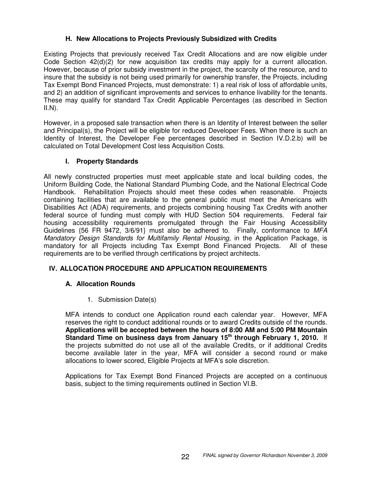# **H. New Allocations to Projects Previously Subsidized with Credits**

Existing Projects that previously received Tax Credit Allocations and are now eligible under Code Section 42(d)(2) for new acquisition tax credits may apply for a current allocation. However, because of prior subsidy investment in the project, the scarcity of the resource, and to insure that the subsidy is not being used primarily for ownership transfer, the Projects, including Tax Exempt Bond Financed Projects, must demonstrate: 1) a real risk of loss of affordable units, and 2) an addition of significant improvements and services to enhance livability for the tenants. These may qualify for standard Tax Credit Applicable Percentages (as described in Section  $II.N$ ).

However, in a proposed sale transaction when there is an Identity of Interest between the seller and Principal(s), the Project will be eligible for reduced Developer Fees. When there is such an Identity of Interest, the Developer Fee percentages described in Section IV.D.2.b) will be calculated on Total Development Cost less Acquisition Costs.

# **I. Property Standards**

All newly constructed properties must meet applicable state and local building codes, the Uniform Building Code, the National Standard Plumbing Code, and the National Electrical Code Handbook. Rehabilitation Projects should meet these codes when reasonable. Projects containing facilities that are available to the general public must meet the Americans with Disabilities Act (ADA) requirements, and projects combining housing Tax Credits with another federal source of funding must comply with HUD Section 504 requirements. Federal fair housing accessibility requirements promulgated through the Fair Housing Accessibility Guidelines {56 FR 9472, 3/6/91} must also be adhered to. Finally, conformance to *MFA Mandatory Design Standards for Multifamily Rental Housing,* in the Application Package, is mandatory for all Projects including Tax Exempt Bond Financed Projects. All of these requirements are to be verified through certifications by project architects.

# **IV. ALLOCATION PROCEDURE AND APPLICATION REQUIREMENTS**

# **A. Allocation Rounds**

1. Submission Date(s)

MFA intends to conduct one Application round each calendar year. However, MFA reserves the right to conduct additional rounds or to award Credits outside of the rounds. **Applications will be accepted between the hours of 8:00 AM and 5:00 PM Mountain Standard Time on business days from January 15 th through February 1, 2010.** If the projects submitted do not use all of the available Credits, or if additional Credits become available later in the year, MFA will consider a second round or make allocations to lower scored, Eligible Projects at MFA's sole discretion.

Applications for Tax Exempt Bond Financed Projects are accepted on a continuous basis, subject to the timing requirements outlined in Section VI.B.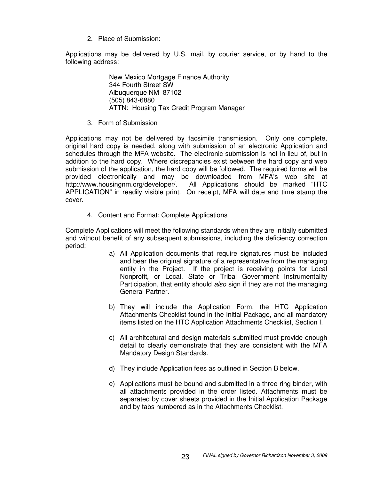2. Place of Submission:

Applications may be delivered by U.S. mail, by courier service, or by hand to the following address:

> New Mexico Mortgage Finance Authority 344 Fourth Street SW Albuquerque NM 87102 (505) 843-6880 ATTN: Housing Tax Credit Program Manager

3. Form of Submission

Applications may not be delivered by facsimile transmission. Only one complete, original hard copy is needed, along with submission of an electronic Application and schedules through the MFA website. The electronic submission is not in lieu of, but in addition to the hard copy. Where discrepancies exist between the hard copy and web submission of the application, the hard copy will be followed. The required forms will be provided electronically and may be downloaded from MFA's web site at http://www.housingnm.org/developer/. All Applications should be marked "HTC APPLICATION" in readily visible print. On receipt, MFA will date and time stamp the cover.

4. Content and Format: Complete Applications

Complete Applications will meet the following standards when they are initially submitted and without benefit of any subsequent submissions, including the deficiency correction period:

- a) All Application documents that require signatures must be included and bear the original signature of a representative from the managing entity in the Project. If the project is receiving points for Local Nonprofit, or Local, State or Tribal Government Instrumentality Participation, that entity should *also* sign if they are not the managing General Partner.
- b) They will include the Application Form, the HTC Application Attachments Checklist found in the Initial Package, and all mandatory items listed on the HTC Application Attachments Checklist, Section I.
- c) All architectural and design materials submitted must provide enough detail to clearly demonstrate that they are consistent with the MFA Mandatory Design Standards.
- d) They include Application fees as outlined in Section B below.
- e) Applications must be bound and submitted in a three ring binder, with all attachments provided in the order listed. Attachments must be separated by cover sheets provided in the Initial Application Package and by tabs numbered as in the Attachments Checklist.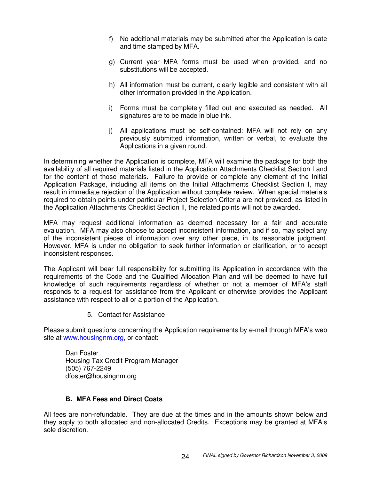- f) No additional materials may be submitted after the Application is date and time stamped by MFA.
- g) Current year MFA forms must be used when provided, and no substitutions will be accepted.
- h) All information must be current, clearly legible and consistent with all other information provided in the Application.
- i) Forms must be completely filled out and executed as needed. All signatures are to be made in blue ink.
- j) All applications must be self-contained: MFA will not rely on any previously submitted information, written or verbal, to evaluate the Applications in a given round.

In determining whether the Application is complete, MFA will examine the package for both the availability of all required materials listed in the Application Attachments Checklist Section I and for the content of those materials. Failure to provide or complete any element of the Initial Application Package, including all items on the Initial Attachments Checklist Section I, may result in immediate rejection of the Application without complete review. When special materials required to obtain points under particular Project Selection Criteria are not provided, as listed in the Application Attachments Checklist Section II, the related points will not be awarded.

MFA may request additional information as deemed necessary for a fair and accurate evaluation. MFA may also choose to accept inconsistent information, and if so, may select any of the inconsistent pieces of information over any other piece, in its reasonable judgment. However, MFA is under no obligation to seek further information or clarification, or to accept inconsistent responses.

The Applicant will bear full responsibility for submitting its Application in accordance with the requirements of the Code and the Qualified Allocation Plan and will be deemed to have full knowledge of such requirements regardless of whether or not a member of MFA's staff responds to a request for assistance from the Applicant or otherwise provides the Applicant assistance with respect to all or a portion of the Application.

5. Contact for Assistance

Please submit questions concerning the Application requirements by e-mail through MFA's web site at www.housingnm.org, or contact:

Dan Foster Housing Tax Credit Program Manager (505) 767-2249 dfoster@housingnm.org

## **B. MFA Fees and Direct Costs**

All fees are non-refundable. They are due at the times and in the amounts shown below and they apply to both allocated and non-allocated Credits. Exceptions may be granted at MFA's sole discretion.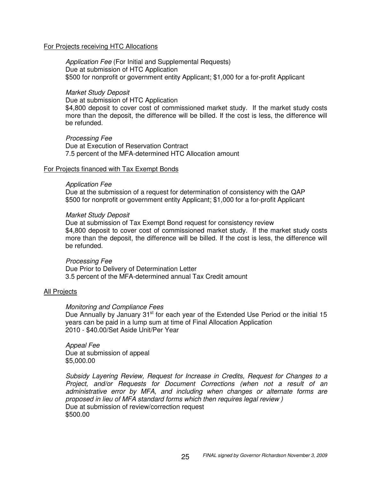#### For Projects receiving HTC Allocations

*Application Fee* (For Initial and Supplemental Requests) Due at submission of HTC Application \$500 for nonprofit or government entity Applicant; \$1,000 for a for-profit Applicant

#### *Market Study Deposit*

Due at submission of HTC Application \$4,800 deposit to cover cost of commissioned market study. If the market study costs more than the deposit, the difference will be billed. If the cost is less, the difference will be refunded.

*Processing Fee* Due at Execution of Reservation Contract 7.5 percent of the MFA-determined HTC Allocation amount

#### For Projects financed with Tax Exempt Bonds

#### *Application Fee*

Due at the submission of a request for determination of consistency with the QAP \$500 for nonprofit or government entity Applicant; \$1,000 for a for-profit Applicant

#### *Market Study Deposit*

Due at submission of Tax Exempt Bond request for consistency review \$4,800 deposit to cover cost of commissioned market study. If the market study costs more than the deposit, the difference will be billed. If the cost is less, the difference will be refunded.

#### *Processing Fee*

Due Prior to Delivery of Determination Letter 3.5 percent of the MFA-determined annual Tax Credit amount

#### All Projects

#### *Monitoring and Compliance Fees*

Due Annually by January 31<sup>st</sup> for each year of the Extended Use Period or the initial 15 years can be paid in a lump sum at time of Final Allocation Application 2010 - \$40.00/Set Aside Unit/Per Year

*Appeal Fee* Due at submission of appeal \$5,000.00

*Subsidy Layering Review, Request for Increase in Credits, Request for Changes to a Project, and/or Requests for Document Corrections (when not a result of an administrative error by MFA, and including when changes or alternate forms are proposed in lieu of MFA standard forms which then requires legal review )* Due at submission of review/correction request \$500.00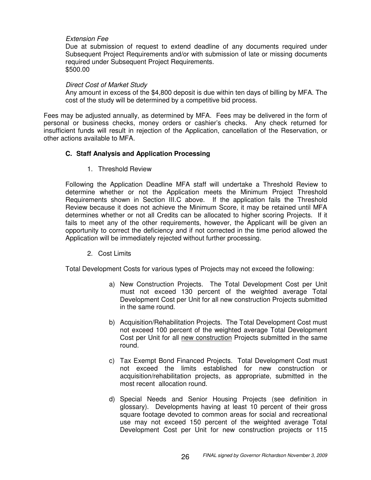### *Extension Fee*

Due at submission of request to extend deadline of any documents required under Subsequent Project Requirements and/or with submission of late or missing documents required under Subsequent Project Requirements. \$500.00

#### *Direct Cost of Market Study*

Any amount in excess of the \$4,800 deposit is due within ten days of billing by MFA. The cost of the study will be determined by a competitive bid process.

Fees may be adjusted annually, as determined by MFA. Fees may be delivered in the form of personal or business checks, money orders or cashier's checks. Any check returned for insufficient funds will result in rejection of the Application, cancellation of the Reservation, or other actions available to MFA.

### **C. Staff Analysis and Application Processing**

1. Threshold Review

Following the Application Deadline MFA staff will undertake a Threshold Review to determine whether or not the Application meets the Minimum Project Threshold Requirements shown in Section III.C above. If the application fails the Threshold Review because it does not achieve the Minimum Score, it may be retained until MFA determines whether or not all Credits can be allocated to higher scoring Projects. If it fails to meet any of the other requirements, however, the Applicant will be given an opportunity to correct the deficiency and if not corrected in the time period allowed the Application will be immediately rejected without further processing.

2. Cost Limits

Total Development Costs for various types of Projects may not exceed the following:

- a) New Construction Projects. The Total Development Cost per Unit must not exceed 130 percent of the weighted average Total Development Cost per Unit for all new construction Projects submitted in the same round.
- b) Acquisition/Rehabilitation Projects. The Total Development Cost must not exceed 100 percent of the weighted average Total Development Cost per Unit for all new construction Projects submitted in the same round.
- c) Tax Exempt Bond Financed Projects. Total Development Cost must not exceed the limits established for new construction or acquisition/rehabilitation projects, as appropriate, submitted in the most recent allocation round.
- d) Special Needs and Senior Housing Projects (see definition in glossary). Developments having at least 10 percent of their gross square footage devoted to common areas for social and recreational use may not exceed 150 percent of the weighted average Total Development Cost per Unit for new construction projects or 115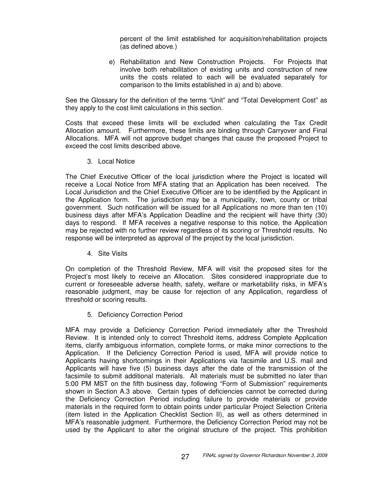percent of the limit established for acquisition/rehabilitation projects (as defined above.)

e) Rehabilitation and New Construction Projects. For Projects that involve both rehabilitation of existing units and construction of new units the costs related to each will be evaluated separately for comparison to the limits established in a) and b) above.

See the Glossary for the definition of the terms "Unit" and "Total Development Cost" as they apply to the cost limit calculations in this section.

Costs that exceed these limits will be excluded when calculating the Tax Credit Allocation amount. Furthermore, these limits are binding through Carryover and Final Allocations. MFA will not approve budget changes that cause the proposed Project to exceed the cost limits described above.

3. Local Notice

The Chief Executive Officer of the local jurisdiction where the Project is located will receive a Local Notice from MFA stating that an Application has been received. The Local Jurisdiction and the Chief Executive Officer are to be identified by the Applicant in the Application form. The jurisdiction may be a municipality, town, county or tribal government. Such notification will be issued for all Applications no more than ten (10) business days after MFA's Application Deadline and the recipient will have thirty (30) days to respond. If MFA receives a negative response to this notice, the Application may be rejected with no further review regardless of its scoring or Threshold results. No response will be interpreted as approval of the project by the local jurisdiction.

4. Site Visits

On completion of the Threshold Review, MFA will visit the proposed sites for the Project's most likely to receive an Allocation. Sites considered inappropriate due to current or foreseeable adverse health, safety, welfare or marketability risks, in MFA's reasonable judgment, may be cause for rejection of any Application, regardless of threshold or scoring results.

5. Deficiency Correction Period

MFA may provide a Deficiency Correction Period immediately after the Threshold Review. It is intended only to correct Threshold items, address Complete Application items, clarify ambiguous information, complete forms, or make minor corrections to the Application. If the Deficiency Correction Period is used, MFA will provide notice to Applicants having shortcomings in their Applications via facsimile and U.S. mail and Applicants will have five (5) business days after the date of the transmission of the facsimile to submit additional materials. All materials must be submitted no later than 5:00 PM MST on the fifth business day, following "Form of Submission" requirements shown in Section A.3 above. Certain types of deficiencies cannot be corrected during the Deficiency Correction Period including failure to provide materials or provide materials in the required form to obtain points under particular Project Selection Criteria (item listed in the Application Checklist Section II), as well as others determined in MFA's reasonable judgment. Furthermore, the Deficiency Correction Period may not be used by the Applicant to alter the original structure of the project. This prohibition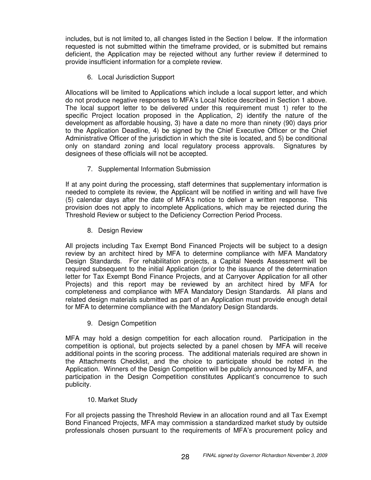includes, but is not limited to, all changes listed in the Section I below. If the information requested is not submitted within the timeframe provided, or is submitted but remains deficient, the Application may be rejected without any further review if determined to provide insufficient information for a complete review.

6. Local Jurisdiction Support

Allocations will be limited to Applications which include a local support letter, and which do not produce negative responses to MFA's Local Notice described in Section 1 above. The local support letter to be delivered under this requirement must 1) refer to the specific Project location proposed in the Application, 2) identify the nature of the development as affordable housing, 3) have a date no more than ninety (90) days prior to the Application Deadline, 4) be signed by the Chief Executive Officer or the Chief Administrative Officer of the jurisdiction in which the site is located, and 5) be conditional only on standard zoning and local regulatory process approvals. Signatures by designees of these officials will not be accepted.

7. Supplemental Information Submission

If at any point during the processing, staff determines that supplementary information is needed to complete its review, the Applicant will be notified in writing and will have five (5) calendar days after the date of MFA's notice to deliver a written response. This provision does not apply to incomplete Applications, which may be rejected during the Threshold Review or subject to the Deficiency Correction Period Process.

8. Design Review

All projects including Tax Exempt Bond Financed Projects will be subject to a design review by an architect hired by MFA to determine compliance with MFA Mandatory Design Standards. For rehabilitation projects, a Capital Needs Assessment will be required subsequent to the initial Application (prior to the issuance of the determination letter for Tax Exempt Bond Finance Projects, and at Carryover Application for all other Projects) and this report may be reviewed by an architect hired by MFA for completeness and compliance with MFA Mandatory Design Standards. All plans and related design materials submitted as part of an Application must provide enough detail for MFA to determine compliance with the Mandatory Design Standards.

9. Design Competition

MFA may hold a design competition for each allocation round. Participation in the competition is optional, but projects selected by a panel chosen by MFA will receive additional points in the scoring process. The additional materials required are shown in the Attachments Checklist, and the choice to participate should be noted in the Application. Winners of the Design Competition will be publicly announced by MFA, and participation in the Design Competition constitutes Applicant's concurrence to such publicity.

## 10. Market Study

For all projects passing the Threshold Review in an allocation round and all Tax Exempt Bond Financed Projects, MFA may commission a standardized market study by outside professionals chosen pursuant to the requirements of MFA's procurement policy and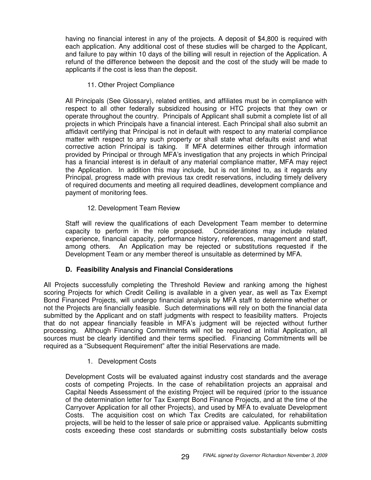having no financial interest in any of the projects. A deposit of \$4,800 is required with each application. Any additional cost of these studies will be charged to the Applicant, and failure to pay within 10 days of the billing will result in rejection of the Application. A refund of the difference between the deposit and the cost of the study will be made to applicants if the cost is less than the deposit.

11. Other Project Compliance

All Principals (See Glossary), related entities, and affiliates must be in compliance with respect to all other federally subsidized housing or HTC projects that they own or operate throughout the country. Principals of Applicant shall submit a complete list of all projects in which Principals have a financial interest. Each Principal shall also submit an affidavit certifying that Principal is not in default with respect to any material compliance matter with respect to any such property or shall state what defaults exist and what corrective action Principal is taking. If MFA determines either through information provided by Principal or through MFA's investigation that any projects in which Principal has a financial interest is in default of any material compliance matter, MFA may reject the Application. In addition this may include, but is not limited to, as it regards any Principal, progress made with previous tax credit reservations, including timely delivery of required documents and meeting all required deadlines, development compliance and payment of monitoring fees.

# 12. Development Team Review

Staff will review the qualifications of each Development Team member to determine capacity to perform in the role proposed. Considerations may include related experience, financial capacity, performance history, references, management and staff, among others. An Application may be rejected or substitutions requested if the Development Team or any member thereof is unsuitable as determined by MFA.

# **D. Feasibility Analysis and Financial Considerations**

All Projects successfully completing the Threshold Review and ranking among the highest scoring Projects for which Credit Ceiling is available in a given year, as well as Tax Exempt Bond Financed Projects, will undergo financial analysis by MFA staff to determine whether or not the Projects are financially feasible. Such determinations will rely on both the financial data submitted by the Applicant and on staff judgments with respect to feasibility matters. Projects that do not appear financially feasible in MFA's judgment will be rejected without further processing. Although Financing Commitments will not be required at Initial Application, all sources must be clearly identified and their terms specified. Financing Commitments will be required as a "Subsequent Requirement" after the initial Reservations are made.

## 1. Development Costs

Development Costs will be evaluated against industry cost standards and the average costs of competing Projects. In the case of rehabilitation projects an appraisal and Capital Needs Assessment of the existing Project will be required (prior to the issuance of the determination letter for Tax Exempt Bond Finance Projects, and at the time of the Carryover Application for all other Projects), and used by MFA to evaluate Development Costs. The acquisition cost on which Tax Credits are calculated, for rehabilitation projects, will be held to the lesser of sale price or appraised value. Applicants submitting costs exceeding these cost standards or submitting costs substantially below costs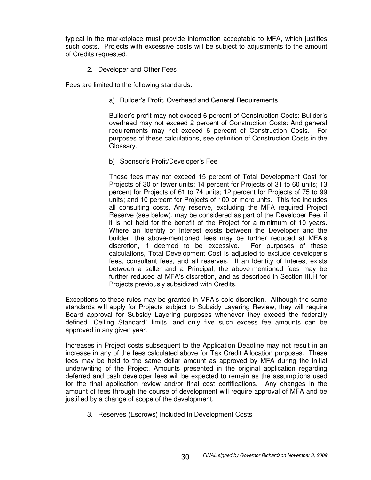typical in the marketplace must provide information acceptable to MFA, which justifies such costs. Projects with excessive costs will be subject to adjustments to the amount of Credits requested.

2. Developer and Other Fees

Fees are limited to the following standards:

a) Builder's Profit, Overhead and General Requirements

Builder's profit may not exceed 6 percent of Construction Costs: Builder's overhead may not exceed 2 percent of Construction Costs: And general requirements may not exceed 6 percent of Construction Costs. For purposes of these calculations, see definition of Construction Costs in the Glossary.

b) Sponsor's Profit/Developer's Fee

These fees may not exceed 15 percent of Total Development Cost for Projects of 30 or fewer units; 14 percent for Projects of 31 to 60 units; 13 percent for Projects of 61 to 74 units; 12 percent for Projects of 75 to 99 units; and 10 percent for Projects of 100 or more units. This fee includes all consulting costs. Any reserve, excluding the MFA required Project Reserve (see below), may be considered as part of the Developer Fee, if it is not held for the benefit of the Project for a minimum of 10 years. Where an Identity of Interest exists between the Developer and the builder, the above-mentioned fees may be further reduced at MFA's discretion, if deemed to be excessive. For purposes of these calculations, Total Development Cost is adjusted to exclude developer's fees, consultant fees, and all reserves. If an Identity of Interest exists between a seller and a Principal, the above-mentioned fees may be further reduced at MFA's discretion, and as described in Section III.H for Projects previously subsidized with Credits.

Exceptions to these rules may be granted in MFA's sole discretion. Although the same standards will apply for Projects subject to Subsidy Layering Review, they will require Board approval for Subsidy Layering purposes whenever they exceed the federally defined "Ceiling Standard" limits, and only five such excess fee amounts can be approved in any given year.

Increases in Project costs subsequent to the Application Deadline may not result in an increase in any of the fees calculated above for Tax Credit Allocation purposes. These fees may be held to the same dollar amount as approved by MFA during the initial underwriting of the Project. Amounts presented in the original application regarding deferred and cash developer fees will be expected to remain as the assumptions used for the final application review and/or final cost certifications. Any changes in the amount of fees through the course of development will require approval of MFA and be justified by a change of scope of the development.

3. Reserves (Escrows) Included In Development Costs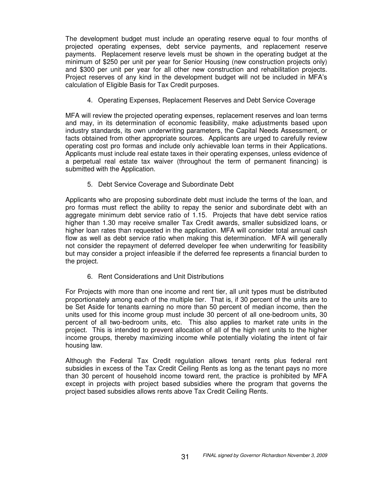The development budget must include an operating reserve equal to four months of projected operating expenses, debt service payments, and replacement reserve payments. Replacement reserve levels must be shown in the operating budget at the minimum of \$250 per unit per year for Senior Housing (new construction projects only) and \$300 per unit per year for all other new construction and rehabilitation projects. Project reserves of any kind in the development budget will not be included in MFA's calculation of Eligible Basis for Tax Credit purposes.

4. Operating Expenses, Replacement Reserves and Debt Service Coverage

MFA will review the projected operating expenses, replacement reserves and loan terms and may, in its determination of economic feasibility, make adjustments based upon industry standards, its own underwriting parameters, the Capital Needs Assessment, or facts obtained from other appropriate sources. Applicants are urged to carefully review operating cost pro formas and include only achievable loan terms in their Applications. Applicants must include real estate taxes in their operating expenses, unless evidence of a perpetual real estate tax waiver (throughout the term of permanent financing) is submitted with the Application.

5. Debt Service Coverage and Subordinate Debt

Applicants who are proposing subordinate debt must include the terms of the loan, and pro formas must reflect the ability to repay the senior and subordinate debt with an aggregate minimum debt service ratio of 1.15. Projects that have debt service ratios higher than 1.30 may receive smaller Tax Credit awards, smaller subsidized loans, or higher loan rates than requested in the application. MFA will consider total annual cash flow as well as debt service ratio when making this determination. MFA will generally not consider the repayment of deferred developer fee when underwriting for feasibility but may consider a project infeasible if the deferred fee represents a financial burden to the project.

6. Rent Considerations and Unit Distributions

For Projects with more than one income and rent tier, all unit types must be distributed proportionately among each of the multiple tier. That is, if 30 percent of the units are to be Set Aside for tenants earning no more than 50 percent of median income, then the units used for this income group must include 30 percent of all one-bedroom units, 30 percent of all two-bedroom units, etc. This also applies to market rate units in the project. This is intended to prevent allocation of all of the high rent units to the higher income groups, thereby maximizing income while potentially violating the intent of fair housing law.

Although the Federal Tax Credit regulation allows tenant rents plus federal rent subsidies in excess of the Tax Credit Ceiling Rents as long as the tenant pays no more than 30 percent of household income toward rent, the practice is prohibited by MFA except in projects with project based subsidies where the program that governs the project based subsidies allows rents above Tax Credit Ceiling Rents.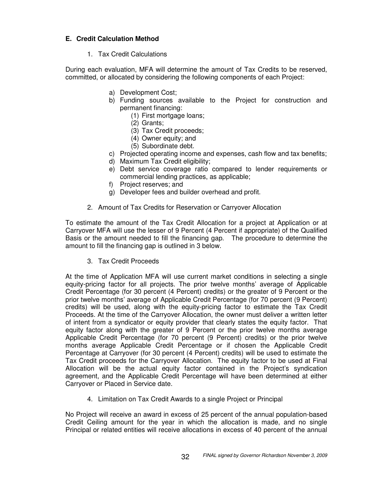# **E. Credit Calculation Method**

1. Tax Credit Calculations

During each evaluation, MFA will determine the amount of Tax Credits to be reserved, committed, or allocated by considering the following components of each Project:

- a) Development Cost;
- b) Funding sources available to the Project for construction and permanent financing:
	- (1) First mortgage loans;
	- (2) Grants;
	- (3) Tax Credit proceeds;
	- (4) Owner equity; and
	- (5) Subordinate debt.
- c) Projected operating income and expenses, cash flow and tax benefits;
- d) Maximum Tax Credit eligibility;
- e) Debt service coverage ratio compared to lender requirements or commercial lending practices, as applicable;
- f) Project reserves; and
- g) Developer fees and builder overhead and profit.
- 2. Amount of Tax Credits for Reservation or Carryover Allocation

To estimate the amount of the Tax Credit Allocation for a project at Application or at Carryover MFA will use the lesser of 9 Percent (4 Percent if appropriate) of the Qualified Basis or the amount needed to fill the financing gap. The procedure to determine the amount to fill the financing gap is outlined in 3 below.

3. Tax Credit Proceeds

At the time of Application MFA will use current market conditions in selecting a single equity-pricing factor for all projects. The prior twelve months' average of Applicable Credit Percentage (for 30 percent (4 Percent) credits) or the greater of 9 Percent or the prior twelve months' average of Applicable Credit Percentage (for 70 percent (9 Percent) credits) will be used, along with the equity-pricing factor to estimate the Tax Credit Proceeds. At the time of the Carryover Allocation, the owner must deliver a written letter of intent from a syndicator or equity provider that clearly states the equity factor. That equity factor along with the greater of 9 Percent or the prior twelve months average Applicable Credit Percentage (for 70 percent (9 Percent) credits) or the prior twelve months average Applicable Credit Percentage or if chosen the Applicable Credit Percentage at Carryover (for 30 percent (4 Percent) credits) will be used to estimate the Tax Credit proceeds for the Carryover Allocation. The equity factor to be used at Final Allocation will be the actual equity factor contained in the Project's syndication agreement, and the Applicable Credit Percentage will have been determined at either Carryover or Placed in Service date.

4. Limitation on Tax Credit Awards to a single Project or Principal

No Project will receive an award in excess of 25 percent of the annual population-based Credit Ceiling amount for the year in which the allocation is made, and no single Principal or related entities will receive allocations in excess of 40 percent of the annual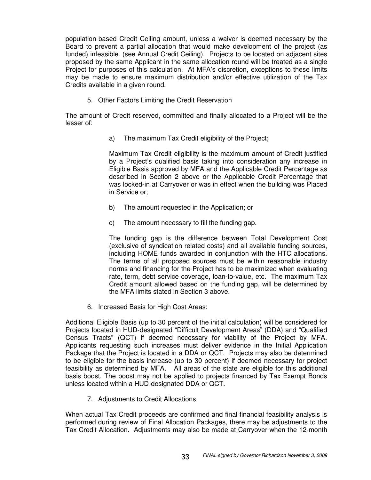population-based Credit Ceiling amount, unless a waiver is deemed necessary by the Board to prevent a partial allocation that would make development of the project (as funded) infeasible. (see Annual Credit Ceiling). Projects to be located on adjacent sites proposed by the same Applicant in the same allocation round will be treated as a single Project for purposes of this calculation. At MFA's discretion, exceptions to these limits may be made to ensure maximum distribution and/or effective utilization of the Tax Credits available in a given round.

5. Other Factors Limiting the Credit Reservation

The amount of Credit reserved, committed and finally allocated to a Project will be the lesser of:

a) The maximum Tax Credit eligibility of the Project;

Maximum Tax Credit eligibility is the maximum amount of Credit justified by a Project's qualified basis taking into consideration any increase in Eligible Basis approved by MFA and the Applicable Credit Percentage as described in Section 2 above or the Applicable Credit Percentage that was locked-in at Carryover or was in effect when the building was Placed in Service or;

- b) The amount requested in the Application; or
- c) The amount necessary to fill the funding gap.

The funding gap is the difference between Total Development Cost (exclusive of syndication related costs) and all available funding sources, including HOME funds awarded in conjunction with the HTC allocations. The terms of all proposed sources must be within reasonable industry norms and financing for the Project has to be maximized when evaluating rate, term, debt service coverage, loan-to-value, etc. The maximum Tax Credit amount allowed based on the funding gap, will be determined by the MFA limits stated in Section 3 above.

6. Increased Basis for High Cost Areas:

Additional Eligible Basis (up to 30 percent of the initial calculation) will be considered for Projects located in HUD-designated "Difficult Development Areas" (DDA) and "Qualified Census Tracts" (QCT) if deemed necessary for viability of the Project by MFA. Applicants requesting such increases must deliver evidence in the Initial Application Package that the Project is located in a DDA or QCT. Projects may also be determined to be eligible for the basis increase (up to 30 percent) if deemed necessary for project feasibility as determined by MFA. All areas of the state are eligible for this additional basis boost. The boost may not be applied to projects financed by Tax Exempt Bonds unless located within a HUD-designated DDA or QCT.

7. Adjustments to Credit Allocations

When actual Tax Credit proceeds are confirmed and final financial feasibility analysis is performed during review of Final Allocation Packages, there may be adjustments to the Tax Credit Allocation. Adjustments may also be made at Carryover when the 12-month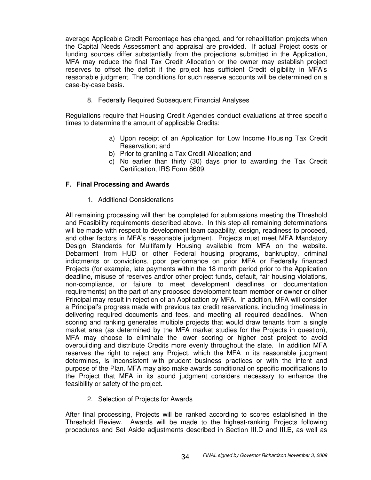average Applicable Credit Percentage has changed, and for rehabilitation projects when the Capital Needs Assessment and appraisal are provided. If actual Project costs or funding sources differ substantially from the projections submitted in the Application, MFA may reduce the final Tax Credit Allocation or the owner may establish project reserves to offset the deficit if the project has sufficient Credit eligibility in MFA's reasonable judgment. The conditions for such reserve accounts will be determined on a case-by-case basis.

8. Federally Required Subsequent Financial Analyses

Regulations require that Housing Credit Agencies conduct evaluations at three specific times to determine the amount of applicable Credits:

- a) Upon receipt of an Application for Low Income Housing Tax Credit Reservation; and
- b) Prior to granting a Tax Credit Allocation; and
- c) No earlier than thirty (30) days prior to awarding the Tax Credit Certification, IRS Form 8609.

## **F. Final Processing and Awards**

1. Additional Considerations

All remaining processing will then be completed for submissions meeting the Threshold and Feasibility requirements described above. In this step all remaining determinations will be made with respect to development team capability, design, readiness to proceed, and other factors in MFA's reasonable judgment. Projects must meet MFA Mandatory Design Standards for Multifamily Housing available from MFA on the website. Debarment from HUD or other Federal housing programs, bankruptcy, criminal indictments or convictions, poor performance on prior MFA or Federally financed Projects (for example, late payments within the 18 month period prior to the Application deadline, misuse of reserves and/or other project funds, default, fair housing violations, non-compliance, or failure to meet development deadlines or documentation requirements) on the part of any proposed development team member or owner or other Principal may result in rejection of an Application by MFA. In addition, MFA will consider a Principal's progress made with previous tax credit reservations, including timeliness in delivering required documents and fees, and meeting all required deadlines. When scoring and ranking generates multiple projects that would draw tenants from a single market area (as determined by the MFA market studies for the Projects in question), MFA may choose to eliminate the lower scoring or higher cost project to avoid overbuilding and distribute Credits more evenly throughout the state. In addition MFA reserves the right to reject any Project, which the MFA in its reasonable judgment determines, is inconsistent with prudent business practices or with the intent and purpose of the Plan. MFA may also make awards conditional on specific modifications to the Project that MFA in its sound judgment considers necessary to enhance the feasibility or safety of the project.

2. Selection of Projects for Awards

After final processing, Projects will be ranked according to scores established in the Threshold Review. Awards will be made to the highest-ranking Projects following procedures and Set Aside adjustments described in Section III.D and III.E, as well as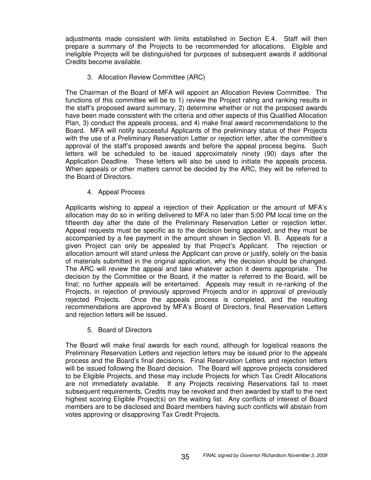adjustments made consistent with limits established in Section E.4. Staff will then prepare a summary of the Projects to be recommended for allocations. Eligible and ineligible Projects will be distinguished for purposes of subsequent awards if additional Credits become available.

3. Allocation Review Committee (ARC)

The Chairman of the Board of MFA will appoint an Allocation Review Committee. The functions of this committee will be to 1) review the Project rating and ranking results in the staff's proposed award summary, 2) determine whether or not the proposed awards have been made consistent with the criteria and other aspects of this Qualified Allocation Plan, 3) conduct the appeals process, and 4) make final award recommendations to the Board. MFA will notify successful Applicants of the preliminary status of their Projects with the use of a Preliminary Reservation Letter or rejection letter, after the committee's approval of the staff's proposed awards and before the appeal process begins. Such letters will be scheduled to be issued approximately ninety (90) days after the Application Deadline. These letters will also be used to initiate the appeals process. When appeals or other matters cannot be decided by the ARC, they will be referred to the Board of Directors.

4. Appeal Process

Applicants wishing to appeal a rejection of their Application or the amount of MFA's allocation may do so in writing delivered to MFA no later than 5:00 PM local time on the fifteenth day after the date of the Preliminary Reservation Letter or rejection letter. Appeal requests must be specific as to the decision being appealed, and they must be accompanied by a fee payment in the amount shown in Section VI. B. Appeals for a given Project can only be appealed by that Project's Applicant. The rejection or allocation amount will stand unless the Applicant can prove or justify, solely on the basis of materials submitted in the original application, why the decision should be changed. The ARC will review the appeal and take whatever action it deems appropriate. The decision by the Committee or the Board, if the matter is referred to the Board, will be final; no further appeals will be entertained. Appeals may result in re-ranking of the Projects, in rejection of previously approved Projects and/or in approval of previously rejected Projects. Once the appeals process is completed, and the resulting recommendations are approved by MFA's Board of Directors, final Reservation Letters and rejection letters will be issued.

5. Board of Directors

The Board will make final awards for each round, although for logistical reasons the Preliminary Reservation Letters and rejection letters may be issued prior to the appeals process and the Board's final decisions. Final Reservation Letters and rejection letters will be issued following the Board decision. The Board will approve projects considered to be Eligible Projects, and these may include Projects for which Tax Credit Allocations are not immediately available. If any Projects receiving Reservations fail to meet subsequent requirements, Credits may be revoked and then awarded by staff to the next highest scoring Eligible Project(s) on the waiting list. Any conflicts of interest of Board members are to be disclosed and Board members having such conflicts will abstain from votes approving or disapproving Tax Credit Projects.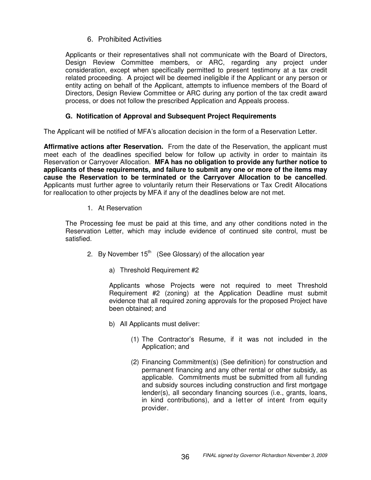# 6. Prohibited Activities

Applicants or their representatives shall not communicate with the Board of Directors, Design Review Committee members, or ARC, regarding any project under consideration, except when specifically permitted to present testimony at a tax credit related proceeding. A project will be deemed ineligible if the Applicant or any person or entity acting on behalf of the Applicant, attempts to influence members of the Board of Directors, Design Review Committee or ARC during any portion of the tax credit award process, or does not follow the prescribed Application and Appeals process.

# **G. Notification of Approval and Subsequent Project Requirements**

The Applicant will be notified of MFA's allocation decision in the form of a Reservation Letter.

**Affirmative actions after Reservation.** From the date of the Reservation, the applicant must meet each of the deadlines specified below for follow up activity in order to maintain its Reservation or Carryover Allocation. **MFA has no obligation to provide any further notice to applicants of these requirements, and failure to submit any one or more of the items may cause the Reservation to be terminated or the Carryover Allocation to be cancelled**. Applicants must further agree to voluntarily return their Reservations or Tax Credit Allocations for reallocation to other projects by MFA if any of the deadlines below are not met.

1. At Reservation

The Processing fee must be paid at this time, and any other conditions noted in the Reservation Letter, which may include evidence of continued site control, must be satisfied.

- 2. By November 15<sup>th</sup> (See Glossary) of the allocation year
	- a) Threshold Requirement #2

Applicants whose Projects were not required to meet Threshold Requirement #2 (zoning) at the Application Deadline must submit evidence that all required zoning approvals for the proposed Project have been obtained; and

- b) All Applicants must deliver:
	- (1) The Contractor's Resume, if it was not included in the Application; and
	- (2) Financing Commitment(s) (See definition) for construction and permanent financing and any other rental or other subsidy, as applicable. Commitments must be submitted from all funding and subsidy sources including construction and first mortgage lender(s), all secondary financing sources (i.e., grants, loans, in kind contributions), and a letter of intent from equity provider.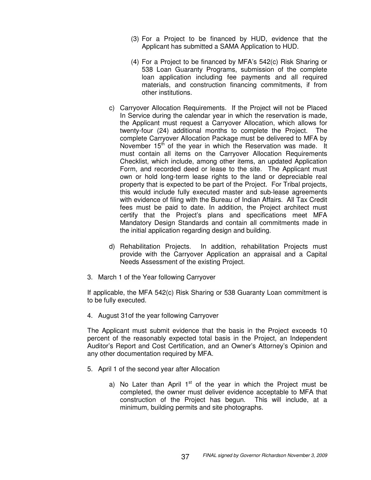- (3) For a Project to be financed by HUD, evidence that the Applicant has submitted a SAMA Application to HUD.
- (4) For a Project to be financed by MFA's 542(c) Risk Sharing or 538 Loan Guaranty Programs, submission of the complete loan application including fee payments and all required materials, and construction financing commitments, if from other institutions.
- c) Carryover Allocation Requirements. If the Project will not be Placed In Service during the calendar year in which the reservation is made, the Applicant must request a Carryover Allocation, which allows for twenty-four (24) additional months to complete the Project. The complete Carryover Allocation Package must be delivered to MFA by November 15<sup>th</sup> of the year in which the Reservation was made. It must contain all items on the Carryover Allocation Requirements Checklist, which include, among other items, an updated Application Form, and recorded deed or lease to the site. The Applicant must own or hold long-term lease rights to the land or depreciable real property that is expected to be part of the Project. For Tribal projects, this would include fully executed master and sub-lease agreements with evidence of filing with the Bureau of Indian Affairs. All Tax Credit fees must be paid to date. In addition, the Project architect must certify that the Project's plans and specifications meet MFA Mandatory Design Standards and contain all commitments made in the initial application regarding design and building.
- d) Rehabilitation Projects. In addition, rehabilitation Projects must provide with the Carryover Application an appraisal and a Capital Needs Assessment of the existing Project.
- 3. March 1 of the Year following Carryover

If applicable, the MFA 542(c) Risk Sharing or 538 Guaranty Loan commitment is to be fully executed.

4. August 31of the year following Carryover

The Applicant must submit evidence that the basis in the Project exceeds 10 percent of the reasonably expected total basis in the Project, an Independent Auditor's Report and Cost Certification, and an Owner's Attorney's Opinion and any other documentation required by MFA.

- 5. April 1 of the second year after Allocation
	- a) No Later than April 1<sup>st</sup> of the year in which the Project must be completed, the owner must deliver evidence acceptable to MFA that construction of the Project has begun. This will include, at a minimum, building permits and site photographs.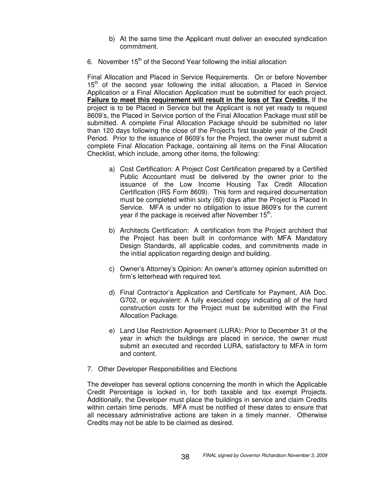- b) At the same time the Applicant must deliver an executed syndication commitment.
- 6. November 15<sup>th</sup> of the Second Year following the initial allocation

Final Allocation and Placed in Service Requirements. On or before November 15<sup>th</sup> of the second year following the initial allocation, a Placed in Service Application or a Final Allocation Application must be submitted for each project. **Failure to meet this requirement will result in the loss of Tax Credits.** If the project is to be Placed in Service but the Applicant is not yet ready to request 8609's, the Placed in Service portion of the Final Allocation Package must still be submitted. A complete Final Allocation Package should be submitted no later than 120 days following the close of the Project's first taxable year of the Credit Period. Prior to the issuance of 8609's for the Project, the owner must submit a complete Final Allocation Package, containing all items on the Final Allocation Checklist, which include, among other items, the following:

- a) Cost Certification: A Project Cost Certification prepared by a Certified Public Accountant must be delivered by the owner prior to the issuance of the Low Income Housing Tax Credit Allocation Certification (IRS Form 8609). This form and required documentation must be completed within sixty (60) days after the Project is Placed In Service. MFA is under no obligation to issue 8609's for the current year if the package is received after November 15<sup>th</sup>.
- b) Architects Certification: A certification from the Project architect that the Project has been built in conformance with MFA Mandatory Design Standards, all applicable codes, and commitments made in the initial application regarding design and building.
- c) Owner's Attorney's Opinion: An owner's attorney opinion submitted on firm's letterhead with required text.
- d) Final Contractor's Application and Certificate for Payment, AIA Doc. G702, or equivalent: A fully executed copy indicating all of the hard construction costs for the Project must be submitted with the Final Allocation Package.
- e) Land Use Restriction Agreement (LURA): Prior to December 31 of the year in which the buildings are placed in service, the owner must submit an executed and recorded LURA, satisfactory to MFA in form and content.
- 7. Other Developer Responsibilities and Elections

The developer has several options concerning the month in which the Applicable Credit Percentage is locked in, for both taxable and tax exempt Projects. Additionally, the Developer must place the buildings in service and claim Credits within certain time periods. MFA must be notified of these dates to ensure that all necessary administrative actions are taken in a timely manner. Otherwise Credits may not be able to be claimed as desired.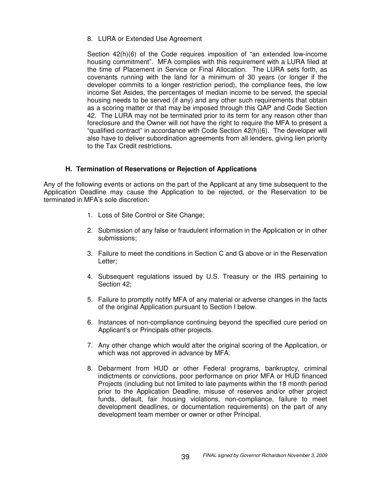8. LURA or Extended Use Agreement

Section 42(h)(6) of the Code requires imposition of "an extended low-income housing commitment". MFA complies with this requirement with a LURA filed at the time of Placement in Service or Final Allocation. The LURA sets forth, as covenants running with the land for a minimum of 30 years (or longer if the developer commits to a longer restriction period), the compliance fees, the low income Set Asides, the percentages of median income to be served, the special housing needs to be served (if any) and any other such requirements that obtain as a scoring matter or that may be imposed through this QAP and Code Section 42. The LURA may not be terminated prior to its term for any reason other than foreclosure and the Owner will not have the right to require the MFA to present a "qualified contract" in accordance with Code Section 42(h)(6). The developer will also have to deliver subordination agreements from all lenders, giving lien priority to the Tax Credit restrictions.

## **H. Termination of Reservations or Rejection of Applications**

Any of the following events or actions on the part of the Applicant at any time subsequent to the Application Deadline may cause the Application to be rejected, or the Reservation to be terminated in MFA's sole discretion:

- 1. Loss of Site Control or Site Change;
- 2. Submission of any false or fraudulent information in the Application or in other submissions;
- 3. Failure to meet the conditions in Section C and G above or in the Reservation Letter;
- 4. Subsequent regulations issued by U.S. Treasury or the IRS pertaining to Section 42;
- 5. Failure to promptly notify MFA of any material or adverse changes in the facts of the original Application pursuant to Section I below.
- 6. Instances of non-compliance continuing beyond the specified cure period on Applicant's or Principals other projects.
- 7. Any other change which would alter the original scoring of the Application, or which was not approved in advance by MFA.
- 8. Debarment from HUD or other Federal programs, bankruptcy, criminal indictments or convictions, poor performance on prior MFA or HUD financed Projects (including but not limited to late payments within the 18 month period prior to the Application Deadline, misuse of reserves and/or other project funds, default, fair housing violations, non-compliance, failure to meet development deadlines, or documentation requirements) on the part of any development team member or owner or other Principal.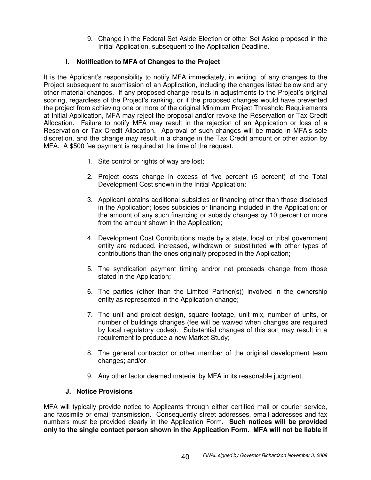9. Change in the Federal Set Aside Election or other Set Aside proposed in the Initial Application, subsequent to the Application Deadline.

# **I. Notification to MFA of Changes to the Project**

It is the Applicant's responsibility to notify MFA immediately, in writing, of any changes to the Project subsequent to submission of an Application, including the changes listed below and any other material changes. If any proposed change results in adjustments to the Project's original scoring, regardless of the Project's ranking, or if the proposed changes would have prevented the project from achieving one or more of the original Minimum Project Threshold Requirements at Initial Application, MFA may reject the proposal and/or revoke the Reservation or Tax Credit Allocation. Failure to notify MFA may result in the rejection of an Application or loss of a Reservation or Tax Credit Allocation. Approval of such changes will be made in MFA's sole discretion, and the change may result in a change in the Tax Credit amount or other action by MFA. A \$500 fee payment is required at the time of the request.

- 1. Site control or rights of way are lost;
- 2. Project costs change in excess of five percent (5 percent) of the Total Development Cost shown in the Initial Application;
- 3. Applicant obtains additional subsidies or financing other than those disclosed in the Application; loses subsidies or financing included in the Application; or the amount of any such financing or subsidy changes by 10 percent or more from the amount shown in the Application;
- 4. Development Cost Contributions made by a state, local or tribal government entity are reduced, increased, withdrawn or substituted with other types of contributions than the ones originally proposed in the Application;
- 5. The syndication payment timing and/or net proceeds change from those stated in the Application;
- 6. The parties (other than the Limited Partner(s)) involved in the ownership entity as represented in the Application change;
- 7. The unit and project design, square footage, unit mix, number of units, or number of buildings changes (fee will be waived when changes are required by local regulatory codes). Substantial changes of this sort may result in a requirement to produce a new Market Study;
- 8. The general contractor or other member of the original development team changes; and/or
- 9. Any other factor deemed material by MFA in its reasonable judgment.

## **J. Notice Provisions**

MFA will typically provide notice to Applicants through either certified mail or courier service, and facsimile or email transmission. Consequently street addresses, email addresses and fax numbers must be provided clearly in the Application Form**. Such notices will be provided only to the single contact person shown in the Application Form. MFA will not be liable if**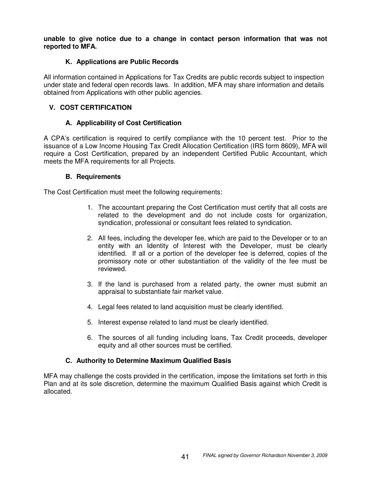**unable to give notice due to a change in contact person information that was not reported to MFA.**

## **K. Applications are Public Records**

All information contained in Applications for Tax Credits are public records subject to inspection under state and federal open records laws. In addition, MFA may share information and details obtained from Applications with other public agencies.

# **V. COST CERTIFICATION**

# **A. Applicability of Cost Certification**

A CPA's certification is required to certify compliance with the 10 percent test. Prior to the issuance of a Low Income Housing Tax Credit Allocation Certification (IRS form 8609), MFA will require a Cost Certification, prepared by an independent Certified Public Accountant, which meets the MFA requirements for all Projects.

## **B. Requirements**

The Cost Certification must meet the following requirements:

- 1. The accountant preparing the Cost Certification must certify that all costs are related to the development and do not include costs for organization, syndication, professional or consultant fees related to syndication.
- 2. All fees, including the developer fee, which are paid to the Developer or to an entity with an Identity of Interest with the Developer, must be clearly identified. If all or a portion of the developer fee is deferred, copies of the promissory note or other substantiation of the validity of the fee must be reviewed.
- 3. If the land is purchased from a related party, the owner must submit an appraisal to substantiate fair market value.
- 4. Legal fees related to land acquisition must be clearly identified.
- 5. Interest expense related to land must be clearly identified.
- 6. The sources of all funding including loans, Tax Credit proceeds, developer equity and all other sources must be certified.

# **C. Authority to Determine Maximum Qualified Basis**

MFA may challenge the costs provided in the certification, impose the limitations set forth in this Plan and at its sole discretion, determine the maximum Qualified Basis against which Credit is allocated.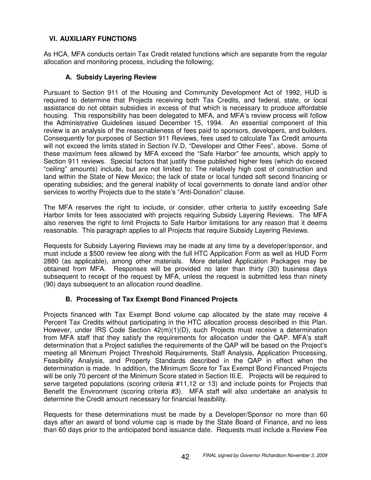# **VI. AUXILIARY FUNCTIONS**

As HCA, MFA conducts certain Tax Credit related functions which are separate from the regular allocation and monitoring process, including the following;

# **A. Subsidy Layering Review**

Pursuant to Section 911 of the Housing and Community Development Act of 1992, HUD is required to determine that Projects receiving both Tax Credits, and federal, state, or local assistance do not obtain subsidies in excess of that which is necessary to produce affordable housing. This responsibility has been delegated to MFA, and MFA's review process will follow the Administrative Guidelines issued December 15, 1994. An essential component of this review is an analysis of the reasonableness of fees paid to sponsors, developers, and builders. Consequently for purposes of Section 911 Reviews, fees used to calculate Tax Credit amounts will not exceed the limits stated in Section IV.D, "Developer and Other Fees", above. Some of these maximum fees allowed by MFA exceed the "Safe Harbor" fee amounts, which apply to Section 911 reviews. Special factors that justify these published higher fees (which do exceed "ceiling" amounts) include, but are not limited to: The relatively high cost of construction and land within the State of New Mexico; the lack of state or local funded soft second financing or operating subsidies; and the general inability of local governments to donate land and/or other services to worthy Projects due to the state's "Anti-Donation" clause.

The MFA reserves the right to include, or consider, other criteria to justify exceeding Safe Harbor limits for fees associated with projects requiring Subsidy Layering Reviews. The MFA also reserves the right to limit Projects to Safe Harbor limitations for any reason that it deems reasonable. This paragraph applies to all Projects that require Subsidy Layering Reviews.

Requests for Subsidy Layering Reviews may be made at any time by a developer/sponsor, and must include a \$500 review fee along with the full HTC Application Form as well as HUD Form 2880 (as applicable), among other materials. More detailed Application Packages may be obtained from MFA. Responses will be provided no later than thirty (30) business days subsequent to receipt of the request by MFA, unless the request is submitted less than ninety (90) days subsequent to an allocation round deadline.

# **B. Processing of Tax Exempt Bond Financed Projects**

Projects financed with Tax Exempt Bond volume cap allocated by the state may receive 4 Percent Tax Credits without participating in the HTC allocation process described in this Plan. However, under IRS Code Section 42(m)(1)(D), such Projects must receive a determination from MFA staff that they satisfy the requirements for allocation under the QAP. MFA's staff determination that a Project satisfies the requirements of the QAP will be based on the Project's meeting all Minimum Project Threshold Requirements, Staff Analysis, Application Processing, Feasibility Analysis, and Property Standards described in the QAP in effect when the determination is made. In addition, the Minimum Score for Tax Exempt Bond Financed Projects will be only 70 percent of the Minimum Score stated in Section III.E. Projects will be required to serve targeted populations (scoring criteria #11,12 or 13) and include points for Projects that Benefit the Environment (scoring criteria #3). MFA staff will also undertake an analysis to determine the Credit amount necessary for financial feasibility.

Requests for these determinations must be made by a Developer/Sponsor no more than 60 days after an award of bond volume cap is made by the State Board of Finance, and no less than 60 days prior to the anticipated bond issuance date. Requests must include a Review Fee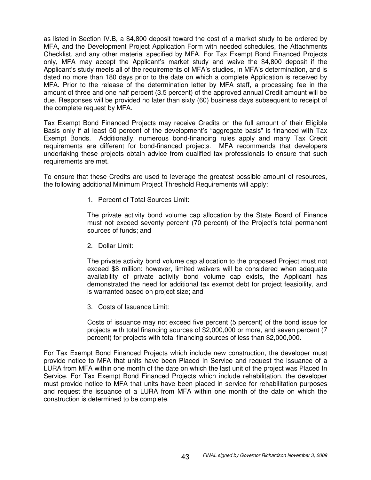as listed in Section IV.B, a \$4,800 deposit toward the cost of a market study to be ordered by MFA, and the Development Project Application Form with needed schedules, the Attachments Checklist, and any other material specified by MFA. For Tax Exempt Bond Financed Projects only, MFA may accept the Applicant's market study and waive the \$4,800 deposit if the Applicant's study meets all of the requirements of MFA's studies, in MFA's determination, and is dated no more than 180 days prior to the date on which a complete Application is received by MFA. Prior to the release of the determination letter by MFA staff, a processing fee in the amount of three and one half percent (3.5 percent) of the approved annual Credit amount will be due. Responses will be provided no later than sixty (60) business days subsequent to receipt of the complete request by MFA.

Tax Exempt Bond Financed Projects may receive Credits on the full amount of their Eligible Basis only if at least 50 percent of the development's "aggregate basis" is financed with Tax Exempt Bonds. Additionally, numerous bond-financing rules apply and many Tax Credit requirements are different for bond-financed projects. MFA recommends that developers undertaking these projects obtain advice from qualified tax professionals to ensure that such requirements are met.

To ensure that these Credits are used to leverage the greatest possible amount of resources, the following additional Minimum Project Threshold Requirements will apply:

1. Percent of Total Sources Limit:

The private activity bond volume cap allocation by the State Board of Finance must not exceed seventy percent (70 percent) of the Project's total permanent sources of funds; and

2. Dollar Limit:

The private activity bond volume cap allocation to the proposed Project must not exceed \$8 million; however, limited waivers will be considered when adequate availability of private activity bond volume cap exists, the Applicant has demonstrated the need for additional tax exempt debt for project feasibility, and is warranted based on project size; and

3. Costs of Issuance Limit:

Costs of issuance may not exceed five percent (5 percent) of the bond issue for projects with total financing sources of \$2,000,000 or more, and seven percent (7 percent) for projects with total financing sources of less than \$2,000,000.

For Tax Exempt Bond Financed Projects which include new construction, the developer must provide notice to MFA that units have been Placed In Service and request the issuance of a LURA from MFA within one month of the date on which the last unit of the project was Placed In Service. For Tax Exempt Bond Financed Projects which include rehabilitation, the developer must provide notice to MFA that units have been placed in service for rehabilitation purposes and request the issuance of a LURA from MFA within one month of the date on which the construction is determined to be complete.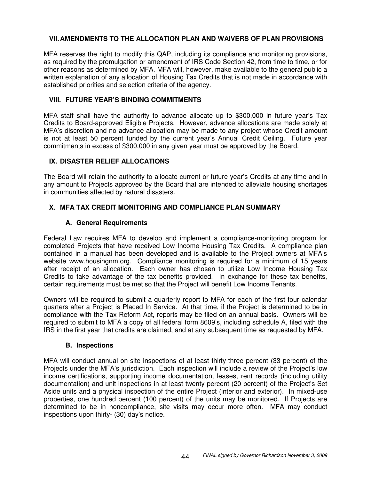# **VII.AMENDMENTS TO THE ALLOCATION PLAN AND WAIVERS OF PLAN PROVISIONS**

MFA reserves the right to modify this QAP, including its compliance and monitoring provisions, as required by the promulgation or amendment of IRS Code Section 42, from time to time, or for other reasons as determined by MFA. MFA will, however, make available to the general public a written explanation of any allocation of Housing Tax Credits that is not made in accordance with established priorities and selection criteria of the agency.

## **VIII. FUTURE YEAR'S BINDING COMMITMENTS**

MFA staff shall have the authority to advance allocate up to \$300,000 in future year's Tax Credits to Board-approved Eligible Projects. However, advance allocations are made solely at MFA's discretion and no advance allocation may be made to any project whose Credit amount is not at least 50 percent funded by the current year's Annual Credit Ceiling. Future year commitments in excess of \$300,000 in any given year must be approved by the Board.

## **IX. DISASTER RELIEF ALLOCATIONS**

The Board will retain the authority to allocate current or future year's Credits at any time and in any amount to Projects approved by the Board that are intended to alleviate housing shortages in communities affected by natural disasters.

# **X. MFA TAX CREDIT MONITORING AND COMPLIANCE PLAN SUMMARY**

## **A. General Requirements**

Federal Law requires MFA to develop and implement a compliance-monitoring program for completed Projects that have received Low Income Housing Tax Credits. A compliance plan contained in a manual has been developed and is available to the Project owners at MFA's website www.housingnm.org. Compliance monitoring is required for a minimum of 15 years after receipt of an allocation. Each owner has chosen to utilize Low Income Housing Tax Credits to take advantage of the tax benefits provided. In exchange for these tax benefits, certain requirements must be met so that the Project will benefit Low Income Tenants.

Owners will be required to submit a quarterly report to MFA for each of the first four calendar quarters after a Project is Placed In Service. At that time, if the Project is determined to be in compliance with the Tax Reform Act, reports may be filed on an annual basis. Owners will be required to submit to MFA a copy of all federal form 8609's, including schedule A, filed with the IRS in the first year that credits are claimed, and at any subsequent time as requested by MFA.

## **B. Inspections**

MFA will conduct annual on-site inspections of at least thirty-three percent (33 percent) of the Projects under the MFA's jurisdiction. Each inspection will include a review of the Project's low income certifications, supporting income documentation, leases, rent records (including utility documentation) and unit inspections in at least twenty percent (20 percent) of the Project's Set Aside units and a physical inspection of the entire Project (interior and exterior). In mixed-use properties, one hundred percent (100 percent) of the units may be monitored. If Projects are determined to be in noncompliance, site visits may occur more often. MFA may conduct inspections upon thirty- (30) day's notice.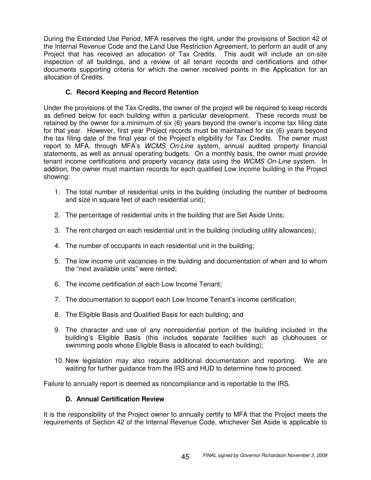During the Extended Use Period, MFA reserves the right, under the provisions of Section 42 of the Internal Revenue Code and the Land Use Restriction Agreement, to perform an audit of any Project that has received an allocation of Tax Credits. This audit will include an on-site inspection of all buildings, and a review of all tenant records and certifications and other documents supporting criteria for which the owner received points in the Application for an allocation of Credits.

# **C. Record Keeping and Record Retention**

Under the provisions of the Tax Credits, the owner of the project will be required to keep records as defined below for each building within a particular development. These records must be retained by the owner for a minimum of six (6) years beyond the owner's income tax filing date for that year. However, first year Project records must be maintained for six (6) years beyond the tax filing date of the final year of the Project's eligibility for Tax Credits. The owner must report to MFA, through MFA's *WCMS On-Line* system, annual audited property financial statements, as well as annual operating budgets. On a monthly basis, the owner must provide tenant income certifications and property vacancy data using the *WCMS On-Line* system. In addition, the owner must maintain records for each qualified Low Income building in the Project showing:

- 1. The total number of residential units in the building (including the number of bedrooms and size in square feet of each residential unit);
- 2. The percentage of residential units in the building that are Set Aside Units;
- 3. The rent charged on each residential unit in the building (including utility allowances);
- 4. The number of occupants in each residential unit in the building;
- 5. The low income unit vacancies in the building and documentation of when and to whom the "next available units" were rented;
- 6. The income certification of each Low Income Tenant;
- 7. The documentation to support each Low Income Tenant's income certification;
- 8. The Eligible Basis and Qualified Basis for each building; and
- 9. The character and use of any nonresidential portion of the building included in the building's Eligible Basis (this includes separate facilities such as clubhouses or swimming pools whose Eligible Basis is allocated to each building);
- 10. New legislation may also require additional documentation and reporting. We are waiting for further guidance from the IRS and HUD to determine how to proceed.

Failure to annually report is deemed as noncompliance and is reportable to the IRS.

# **D. Annual Certification Review**

It is the responsibility of the Project owner to annually certify to MFA that the Project meets the requirements of Section 42 of the Internal Revenue Code, whichever Set Aside is applicable to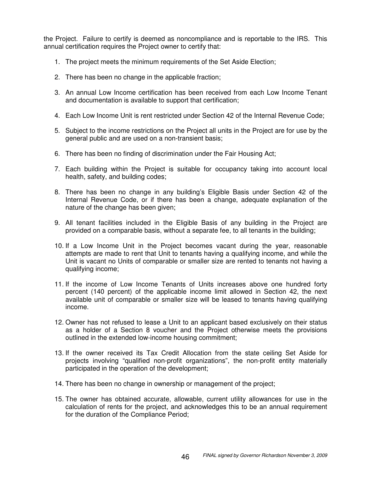the Project. Failure to certify is deemed as noncompliance and is reportable to the IRS. This annual certification requires the Project owner to certify that:

- 1. The project meets the minimum requirements of the Set Aside Election;
- 2. There has been no change in the applicable fraction;
- 3. An annual Low Income certification has been received from each Low Income Tenant and documentation is available to support that certification;
- 4. Each Low Income Unit is rent restricted under Section 42 of the Internal Revenue Code;
- 5. Subject to the income restrictions on the Project all units in the Project are for use by the general public and are used on a non-transient basis;
- 6. There has been no finding of discrimination under the Fair Housing Act;
- 7. Each building within the Project is suitable for occupancy taking into account local health, safety, and building codes;
- 8. There has been no change in any building's Eligible Basis under Section 42 of the Internal Revenue Code, or if there has been a change, adequate explanation of the nature of the change has been given;
- 9. All tenant facilities included in the Eligible Basis of any building in the Project are provided on a comparable basis, without a separate fee, to all tenants in the building;
- 10. If a Low Income Unit in the Project becomes vacant during the year, reasonable attempts are made to rent that Unit to tenants having a qualifying income, and while the Unit is vacant no Units of comparable or smaller size are rented to tenants not having a qualifying income;
- 11. If the income of Low Income Tenants of Units increases above one hundred forty percent (140 percent) of the applicable income limit allowed in Section 42, the next available unit of comparable or smaller size will be leased to tenants having qualifying income.
- 12. Owner has not refused to lease a Unit to an applicant based exclusively on their status as a holder of a Section 8 voucher and the Project otherwise meets the provisions outlined in the extended low-income housing commitment;
- 13. If the owner received its Tax Credit Allocation from the state ceiling Set Aside for projects involving "qualified non-profit organizations", the non-profit entity materially participated in the operation of the development;
- 14. There has been no change in ownership or management of the project;
- 15. The owner has obtained accurate, allowable, current utility allowances for use in the calculation of rents for the project, and acknowledges this to be an annual requirement for the duration of the Compliance Period;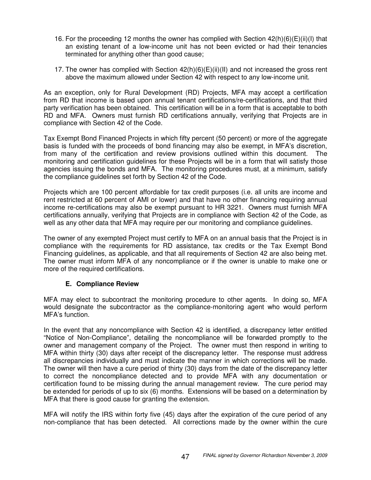- 16. For the proceeding 12 months the owner has complied with Section 42(h)(6)(E)(ii)(I) that an existing tenant of a low-income unit has not been evicted or had their tenancies terminated for anything other than good cause;
- 17. The owner has complied with Section  $42(h)(6)(E)(ii)(II)$  and not increased the gross rent above the maximum allowed under Section 42 with respect to any low-income unit.

As an exception, only for Rural Development (RD) Projects, MFA may accept a certification from RD that income is based upon annual tenant certifications/re-certifications, and that third party verification has been obtained. This certification will be in a form that is acceptable to both RD and MFA. Owners must furnish RD certifications annually, verifying that Projects are in compliance with Section 42 of the Code.

Tax Exempt Bond Financed Projects in which fifty percent (50 percent) or more of the aggregate basis is funded with the proceeds of bond financing may also be exempt, in MFA's discretion, from many of the certification and review provisions outlined within this document. The monitoring and certification guidelines for these Projects will be in a form that will satisfy those agencies issuing the bonds and MFA. The monitoring procedures must, at a minimum, satisfy the compliance guidelines set forth by Section 42 of the Code.

Projects which are 100 percent affordable for tax credit purposes (i.e. all units are income and rent restricted at 60 percent of AMI or lower) and that have no other financing requiring annual income re-certifications may also be exempt pursuant to HR 3221. Owners must furnish MFA certifications annually, verifying that Projects are in compliance with Section 42 of the Code, as well as any other data that MFA may require per our monitoring and compliance guidelines.

The owner of any exempted Project must certify to MFA on an annual basis that the Project is in compliance with the requirements for RD assistance, tax credits or the Tax Exempt Bond Financing guidelines, as applicable, and that all requirements of Section 42 are also being met. The owner must inform MFA of any noncompliance or if the owner is unable to make one or more of the required certifications.

# **E. Compliance Review**

MFA may elect to subcontract the monitoring procedure to other agents. In doing so, MFA would designate the subcontractor as the compliance-monitoring agent who would perform MFA's function.

In the event that any noncompliance with Section 42 is identified, a discrepancy letter entitled "Notice of Non-Compliance", detailing the noncompliance will be forwarded promptly to the owner and management company of the Project. The owner must then respond in writing to MFA within thirty (30) days after receipt of the discrepancy letter. The response must address all discrepancies individually and must indicate the manner in which corrections will be made. The owner will then have a cure period of thirty (30) days from the date of the discrepancy letter to correct the noncompliance detected and to provide MFA with any documentation or certification found to be missing during the annual management review. The cure period may be extended for periods of up to six (6) months. Extensions will be based on a determination by MFA that there is good cause for granting the extension.

MFA will notify the IRS within forty five (45) days after the expiration of the cure period of any non-compliance that has been detected. All corrections made by the owner within the cure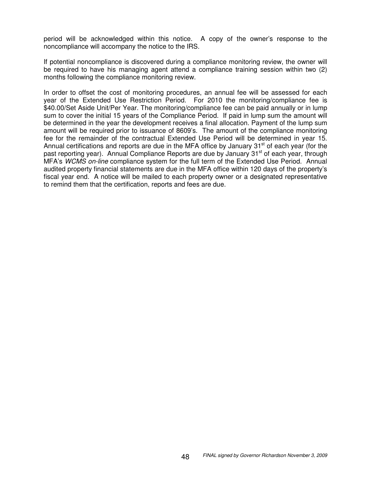period will be acknowledged within this notice. A copy of the owner's response to the noncompliance will accompany the notice to the IRS.

If potential noncompliance is discovered during a compliance monitoring review, the owner will be required to have his managing agent attend a compliance training session within two (2) months following the compliance monitoring review.

In order to offset the cost of monitoring procedures, an annual fee will be assessed for each year of the Extended Use Restriction Period. For 2010 the monitoring/compliance fee is \$40.00/Set Aside Unit/Per Year. The monitoring/compliance fee can be paid annually or in lump sum to cover the initial 15 years of the Compliance Period. If paid in lump sum the amount will be determined in the year the development receives a final allocation. Payment of the lump sum amount will be required prior to issuance of 8609's. The amount of the compliance monitoring fee for the remainder of the contractual Extended Use Period will be determined in year 15. Annual certifications and reports are due in the MFA office by January 31<sup>st</sup> of each year (for the past reporting year). Annual Compliance Reports are due by January 31<sup>st</sup> of each year, through MFA's *WCMS on-line* compliance system for the full term of the Extended Use Period. Annual audited property financial statements are due in the MFA office within 120 days of the property's fiscal year end. A notice will be mailed to each property owner or a designated representative to remind them that the certification, reports and fees are due.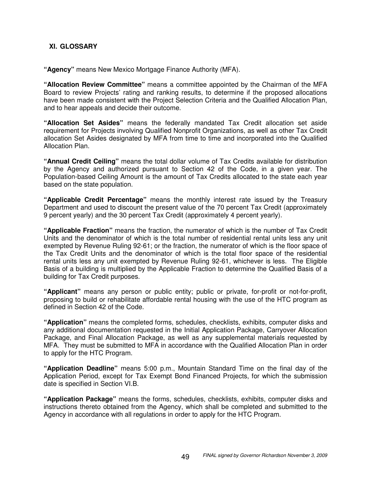## **XI. GLOSSARY**

**"Agency"** means New Mexico Mortgage Finance Authority (MFA).

**"Allocation Review Committee"** means a committee appointed by the Chairman of the MFA Board to review Projects' rating and ranking results, to determine if the proposed allocations have been made consistent with the Project Selection Criteria and the Qualified Allocation Plan, and to hear appeals and decide their outcome.

**"Allocation Set Asides"** means the federally mandated Tax Credit allocation set aside requirement for Projects involving Qualified Nonprofit Organizations, as well as other Tax Credit allocation Set Asides designated by MFA from time to time and incorporated into the Qualified Allocation Plan.

**"Annual Credit Ceiling"** means the total dollar volume of Tax Credits available for distribution by the Agency and authorized pursuant to Section 42 of the Code, in a given year. The Population-based Ceiling Amount is the amount of Tax Credits allocated to the state each year based on the state population.

**"Applicable Credit Percentage"** means the monthly interest rate issued by the Treasury Department and used to discount the present value of the 70 percent Tax Credit (approximately 9 percent yearly) and the 30 percent Tax Credit (approximately 4 percent yearly).

**"Applicable Fraction"** means the fraction, the numerator of which is the number of Tax Credit Units and the denominator of which is the total number of residential rental units less any unit exempted by Revenue Ruling 92-61; or the fraction, the numerator of which is the floor space of the Tax Credit Units and the denominator of which is the total floor space of the residential rental units less any unit exempted by Revenue Ruling 92-61, whichever is less. The Eligible Basis of a building is multiplied by the Applicable Fraction to determine the Qualified Basis of a building for Tax Credit purposes.

**"Applicant"** means any person or public entity; public or private, for-profit or not-for-profit, proposing to build or rehabilitate affordable rental housing with the use of the HTC program as defined in Section 42 of the Code.

**"Application"** means the completed forms, schedules, checklists, exhibits, computer disks and any additional documentation requested in the Initial Application Package, Carryover Allocation Package, and Final Allocation Package, as well as any supplemental materials requested by MFA. They must be submitted to MFA in accordance with the Qualified Allocation Plan in order to apply for the HTC Program.

**"Application Deadline"** means 5:00 p.m., Mountain Standard Time on the final day of the Application Period, except for Tax Exempt Bond Financed Projects, for which the submission date is specified in Section VI.B.

**"Application Package"** means the forms, schedules, checklists, exhibits, computer disks and instructions thereto obtained from the Agency, which shall be completed and submitted to the Agency in accordance with all regulations in order to apply for the HTC Program.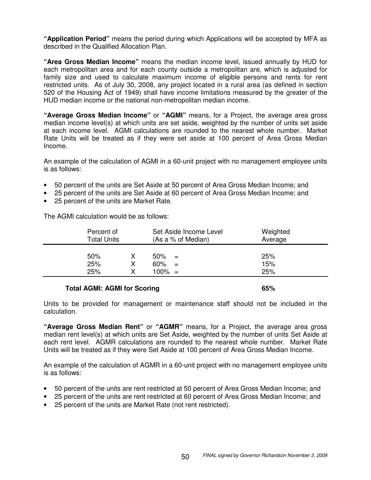**"Application Period"** means the period during which Applications will be accepted by MFA as described in the Qualified Allocation Plan.

**"Area Gross Median Income"** means the median income level, issued annually by HUD for each metropolitan area and for each county outside a metropolitan are, which is adjusted for family size and used to calculate maximum income of eligible persons and rents for rent restricted units. As of July 30, 2008, any project located in a rural area (as defined in section 520 of the Housing Act of 1949) shall have income limitations measured by the greater of the HUD median income or the national non-metropolitan median income.

**"Average Gross Median Income"** or **"AGMI"** means, for a Project, the average area gross median income level(s) at which units are set aside, weighted by the number of units set aside at each income level. AGMI calculations are rounded to the nearest whole number. Market Rate Units will be treated as if they were set aside at 100 percent of Area Gross Median Income.

An example of the calculation of AGMI in a 60-unit project with no management employee units is as follows:

- 50 percent of the units are Set Aside at 50 percent of Area Gross Median Income; and
- 25 percent of the units are Set Aside at 60 percent of Area Gross Median Income; and
- 25 percent of the units are Market Rate.

The AGMI calculation would be as follows:

| Percent of<br><b>Total Units</b> |  | Set Aside Income Level<br>Weighted<br>Average<br>(As a % of Median) |     |     |  |  |
|----------------------------------|--|---------------------------------------------------------------------|-----|-----|--|--|
| 50%                              |  | $50\%$                                                              | $=$ | 25% |  |  |
| 25%                              |  | 60%                                                                 | $=$ | 15% |  |  |
| 25%                              |  | $100\% =$                                                           |     | 25% |  |  |
|                                  |  |                                                                     |     |     |  |  |

#### **Total AGMI: AGMI for Scoring 65%**

Units to be provided for management or maintenance staff should not be included in the calculation.

**"Average Gross Median Rent"** or **"AGMR"** means, for a Project, the average area gross median rent level(s) at which units are Set Aside, weighted by the number of units Set Aside at each rent level. AGMR calculations are rounded to the nearest whole number. Market Rate Units will be treated as if they were Set Aside at 100 percent of Area Gross Median Income.

An example of the calculation of AGMR in a 60-unit project with no management employee units is as follows:

- 50 percent of the units are rent restricted at 50 percent of Area Gross Median Income; and
- 25 percent of the units are rent restricted at 60 percent of Area Gross Median Income; and
- 25 percent of the units are Market Rate (not rent restricted).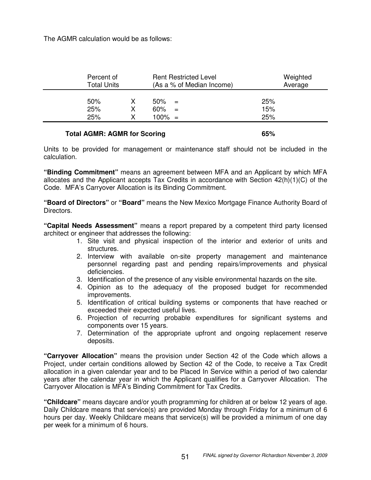The AGMR calculation would be as follows:

| Percent of<br>Total Units |    | <b>Rent Restricted Level</b><br>(As a % of Median Income) | Weighted<br>Average |
|---------------------------|----|-----------------------------------------------------------|---------------------|
| 50%<br>25%<br>25%         | x. | 50%<br>$=$<br>60%<br>$=$<br>$100\% =$                     | 25%<br>15%<br>25%   |

## **Total AGMR: AGMR for Scoring 65%**

Units to be provided for management or maintenance staff should not be included in the calculation.

**"Binding Commitment"** means an agreement between MFA and an Applicant by which MFA allocates and the Applicant accepts Tax Credits in accordance with Section 42(h)(1)(C) of the Code. MFA's Carryover Allocation is its Binding Commitment.

**"Board of Directors"** or **"Board"** means the New Mexico Mortgage Finance Authority Board of Directors.

**"Capital Needs Assessment"** means a report prepared by a competent third party licensed architect or engineer that addresses the following:

- 1. Site visit and physical inspection of the interior and exterior of units and structures.
- 2. Interview with available on-site property management and maintenance personnel regarding past and pending repairs/improvements and physical deficiencies.
- 3. Identification of the presence of any visible environmental hazards on the site.
- 4. Opinion as to the adequacy of the proposed budget for recommended improvements.
- 5. Identification of critical building systems or components that have reached or exceeded their expected useful lives.
- 6. Projection of recurring probable expenditures for significant systems and components over 15 years.
- 7. Determination of the appropriate upfront and ongoing replacement reserve deposits.

**"Carryover Allocation"** means the provision under Section 42 of the Code which allows a Project, under certain conditions allowed by Section 42 of the Code, to receive a Tax Credit allocation in a given calendar year and to be Placed In Service within a period of two calendar years after the calendar year in which the Applicant qualifies for a Carryover Allocation. The Carryover Allocation is MFA's Binding Commitment for Tax Credits.

**"Childcare"** means daycare and/or youth programming for children at or below 12 years of age. Daily Childcare means that service(s) are provided Monday through Friday for a minimum of 6 hours per day. Weekly Childcare means that service(s) will be provided a minimum of one day per week for a minimum of 6 hours.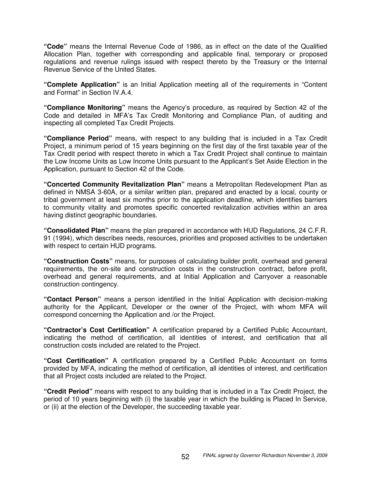**"Code"** means the Internal Revenue Code of 1986, as in effect on the date of the Qualified Allocation Plan, together with corresponding and applicable final, temporary or proposed regulations and revenue rulings issued with respect thereto by the Treasury or the Internal Revenue Service of the United States.

**"Complete Application"** is an Initial Application meeting all of the requirements in "Content and Format" in Section IV.A.4.

**"Compliance Monitoring"** means the Agency's procedure, as required by Section 42 of the Code and detailed in MFA's Tax Credit Monitoring and Compliance Plan, of auditing and inspecting all completed Tax Credit Projects.

**"Compliance Period"** means, with respect to any building that is included in a Tax Credit Project, a minimum period of 15 years beginning on the first day of the first taxable year of the Tax Credit period with respect thereto in which a Tax Credit Project shall continue to maintain the Low Income Units as Low Income Units pursuant to the Applicant's Set Aside Election in the Application, pursuant to Section 42 of the Code.

**"Concerted Community Revitalization Plan"** means a Metropolitan Redevelopment Plan as defined in NMSA 3-60A, or a similar written plan, prepared and enacted by a local, county or tribal government at least six months prior to the application deadline, which identifies barriers to community vitality and promotes specific concerted revitalization activities within an area having distinct geographic boundaries.

**"Consolidated Plan"** means the plan prepared in accordance with HUD Regulations, 24 C.F.R. 91 (1994), which describes needs, resources, priorities and proposed activities to be undertaken with respect to certain HUD programs.

**"Construction Costs"** means, for purposes of calculating builder profit, overhead and general requirements, the on-site and construction costs in the construction contract, before profit, overhead and general requirements, and at Initial Application and Carryover a reasonable construction contingency.

**"Contact Person"** means a person identified in the Initial Application with decision-making authority for the Applicant, Developer or the owner of the Project, with whom MFA will correspond concerning the Application and /or the Project.

**"Contractor's Cost Certification"** A certification prepared by a Certified Public Accountant, indicating the method of certification, all identities of interest, and certification that all construction costs included are related to the Project.

**"Cost Certification"** A certification prepared by a Certified Public Accountant on forms provided by MFA, indicating the method of certification, all identities of interest, and certification that all Project costs included are related to the Project.

**"Credit Period"** means with respect to any building that is included in a Tax Credit Project, the period of 10 years beginning with (i) the taxable year in which the building is Placed In Service, or (ii) at the election of the Developer, the succeeding taxable year.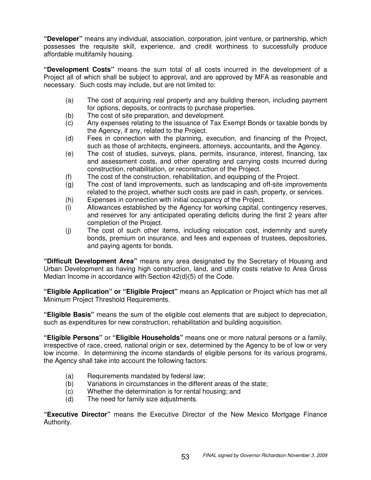**"Developer"** means any individual, association, corporation, joint venture, or partnership, which possesses the requisite skill, experience, and credit worthiness to successfully produce affordable multifamily housing.

**"Development Costs"** means the sum total of all costs incurred in the development of a Project all of which shall be subject to approval, and are approved by MFA as reasonable and necessary. Such costs may include, but are not limited to:

- (a) The cost of acquiring real property and any building thereon, including payment for options, deposits, or contracts to purchase properties.
- (b) The cost of site preparation, and development.
- (c) Any expenses relating to the issuance of Tax Exempt Bonds or taxable bonds by the Agency, if any, related to the Project.
- (d) Fees in connection with the planning, execution, and financing of the Project, such as those of architects, engineers, attorneys, accountants, and the Agency.
- (e) The cost of studies, surveys, plans, permits, insurance, interest, financing, tax and assessment costs, and other operating and carrying costs incurred during construction, rehabilitation, or reconstruction of the Project.
- (f) The cost of the construction, rehabilitation, and equipping of the Project.
- (g) The cost of land improvements, such as landscaping and off-site improvements related to the project, whether such costs are paid in cash, property, or services.
- (h) Expenses in connection with initial occupancy of the Project.<br>(i) Allowances established by the Agency for working capital, co
- Allowances established by the Agency for working capital, contingency reserves, and reserves for any anticipated operating deficits during the first 2 years after completion of the Project.
- (j) The cost of such other items, including relocation cost, indemnity and surety bonds, premium on insurance, and fees and expenses of trustees, depositories, and paying agents for bonds.

**"Difficult Development Area"** means any area designated by the Secretary of Housing and Urban Development as having high construction, land, and utility costs relative to Area Gross Median Income in accordance with Section 42(d)(5) of the Code.

**"Eligible Application" or "Eligible Project"** means an Application or Project which has met all Minimum Project Threshold Requirements.

**"Eligible Basis"** means the sum of the eligible cost elements that are subject to depreciation, such as expenditures for new construction, rehabilitation and building acquisition.

**"Eligible Persons"** or **"Eligible Households"** means one or more natural persons or a family, irrespective of race, creed, national origin or sex, determined by the Agency to be of low or very low income. In determining the income standards of eligible persons for its various programs, the Agency shall take into account the following factors:

- (a) Requirements mandated by federal law;
- (b) Variations in circumstances in the different areas of the state;
- (c) Whether the determination is for rental housing; and
- (d) The need for family size adjustments.

**"Executive Director"** means the Executive Director of the New Mexico Mortgage Finance Authority.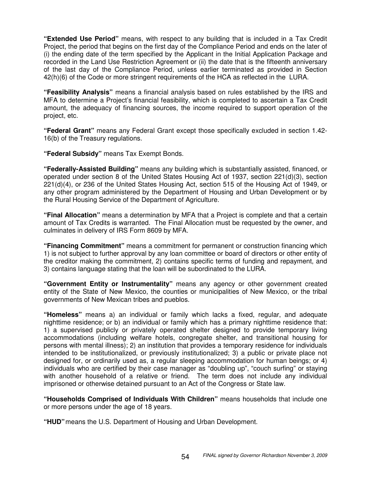**"Extended Use Period"** means, with respect to any building that is included in a Tax Credit Project, the period that begins on the first day of the Compliance Period and ends on the later of (i) the ending date of the term specified by the Applicant in the Initial Application Package and recorded in the Land Use Restriction Agreement or (ii) the date that is the fifteenth anniversary of the last day of the Compliance Period, unless earlier terminated as provided in Section 42(h)(6) of the Code or more stringent requirements of the HCA as reflected in the LURA.

**"Feasibility Analysis"** means a financial analysis based on rules established by the IRS and MFA to determine a Project's financial feasibility, which is completed to ascertain a Tax Credit amount, the adequacy of financing sources, the income required to support operation of the project, etc.

**"Federal Grant"** means any Federal Grant except those specifically excluded in section 1.42- 16(b) of the Treasury regulations.

**"Federal Subsidy"** means Tax Exempt Bonds.

**"Federally-Assisted Building"** means any building which is substantially assisted, financed, or operated under section 8 of the United States Housing Act of 1937, section 221(d)(3), section 221(d)(4), or 236 of the United States Housing Act, section 515 of the Housing Act of 1949, or any other program administered by the Department of Housing and Urban Development or by the Rural Housing Service of the Department of Agriculture.

**"Final Allocation"** means a determination by MFA that a Project is complete and that a certain amount of Tax Credits is warranted. The Final Allocation must be requested by the owner, and culminates in delivery of IRS Form 8609 by MFA.

**"Financing Commitment"** means a commitment for permanent or construction financing which 1) is not subject to further approval by any loan committee or board of directors or other entity of the creditor making the commitment, 2) contains specific terms of funding and repayment, and 3) contains language stating that the loan will be subordinated to the LURA.

**"Government Entity or Instrumentality"** means any agency or other government created entity of the State of New Mexico, the counties or municipalities of New Mexico, or the tribal governments of New Mexican tribes and pueblos.

**"Homeless"** means a) an individual or family which lacks a fixed, regular, and adequate nighttime residence; or b) an individual or family which has a primary nighttime residence that: 1) a supervised publicly or privately operated shelter designed to provide temporary living accommodations (including welfare hotels, congregate shelter, and transitional housing for persons with mental illness); 2) an institution that provides a temporary residence for individuals intended to be institutionalized, or previously institutionalized; 3) a public or private place not designed for, or ordinarily used as, a regular sleeping accommodation for human beings; or 4) individuals who are certified by their case manager as "doubling up", "couch surfing" or staying with another household of a relative or friend. The term does not include any individual imprisoned or otherwise detained pursuant to an Act of the Congress or State law.

**"Households Comprised of Individuals With Children"** means households that include one or more persons under the age of 18 years.

**"HUD"** means the U.S. Department of Housing and Urban Development.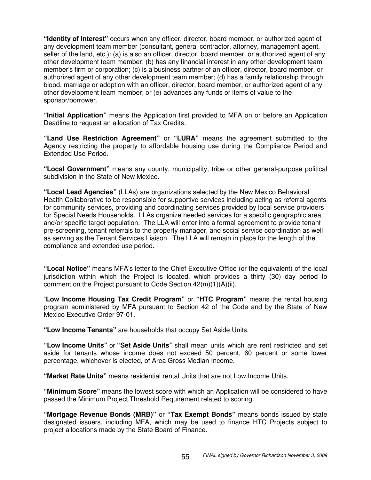**"Identity of Interest"** occurs when any officer, director, board member, or authorized agent of any development team member (consultant, general contractor, attorney, management agent, seller of the land, etc.): (a) is also an officer, director, board member, or authorized agent of any other development team member; (b) has any financial interest in any other development team member's firm or corporation; (c) is a business partner of an officer, director, board member, or authorized agent of any other development team member; (d) has a family relationship through blood, marriage or adoption with an officer, director, board member, or authorized agent of any other development team member; or (e) advances any funds or items of value to the sponsor/borrower.

**"Initial Application"** means the Application first provided to MFA on or before an Application Deadline to request an allocation of Tax Credits.

**"Land Use Restriction Agreement"** or **"LURA"** means the agreement submitted to the Agency restricting the property to affordable housing use during the Compliance Period and Extended Use Period.

**"Local Government"** means any county, municipality, tribe or other general-purpose political subdivision in the State of New Mexico.

**"Local Lead Agencies"** (LLAs) are organizations selected by the New Mexico Behavioral Health Collaborative to be responsible for supportive services including acting as referral agents for community services, providing and coordinating services provided by local service providers for Special Needs Households. LLAs organize needed services for a specific geographic area, and/or specific target population. The LLA will enter into a formal agreement to provide tenant pre-screening, tenant referrals to the property manager, and social service coordination as well as serving as the Tenant Services Liaison. The LLA will remain in place for the length of the compliance and extended use period.

**"Local Notice"** means MFA's letter to the Chief Executive Office (or the equivalent) of the local jurisdiction within which the Project is located, which provides a thirty (30) day period to comment on the Project pursuant to Code Section 42(m)(1)(A)(ii).

"**Low Income Housing Tax Credit Program"** or **"HTC Program"** means the rental housing program administered by MFA pursuant to Section 42 of the Code and by the State of New Mexico Executive Order 97-01.

**"Low Income Tenants"** are households that occupy Set Aside Units.

**"Low Income Units"** or **"Set Aside Units"** shall mean units which are rent restricted and set aside for tenants whose income does not exceed 50 percent, 60 percent or some lower percentage, whichever is elected, of Area Gross Median Income.

**"Market Rate Units"** means residential rental Units that are not Low Income Units.

**"Minimum Score"** means the lowest score with which an Application will be considered to have passed the Minimum Project Threshold Requirement related to scoring.

**"Mortgage Revenue Bonds (MRB)"** or **"Tax Exempt Bonds"** means bonds issued by state designated issuers, including MFA, which may be used to finance HTC Projects subject to project allocations made by the State Board of Finance.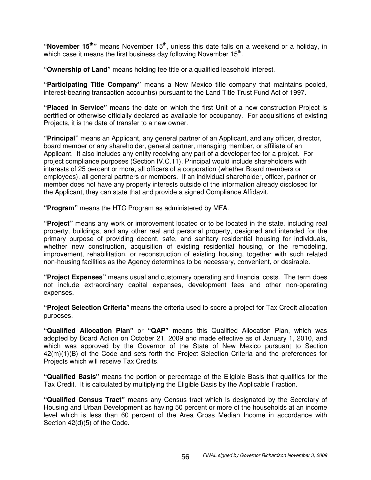"November 15<sup>th</sup>" means November 15<sup>th</sup>, unless this date falls on a weekend or a holiday, in which case it means the first business day following November 15<sup>th</sup>.

**"Ownership of Land"** means holding fee title or a qualified leasehold interest.

**"Participating Title Company"** means a New Mexico title company that maintains pooled, interest-bearing transaction account(s) pursuant to the Land Title Trust Fund Act of 1997.

**"Placed in Service"** means the date on which the first Unit of a new construction Project is certified or otherwise officially declared as available for occupancy. For acquisitions of existing Projects, it is the date of transfer to a new owner.

**"Principal"** means an Applicant, any general partner of an Applicant, and any officer, director, board member or any shareholder, general partner, managing member, or affiliate of an Applicant. It also includes any entity receiving any part of a developer fee for a project. For project compliance purposes (Section IV.C.11), Principal would include shareholders with interests of 25 percent or more, all officers of a corporation (whether Board members or employees), all general partners or members. If an individual shareholder, officer, partner or member does not have any property interests outside of the information already disclosed for the Applicant, they can state that and provide a signed Compliance Affidavit.

**"Program"** means the HTC Program as administered by MFA.

**"Project"** means any work or improvement located or to be located in the state, including real property, buildings, and any other real and personal property, designed and intended for the primary purpose of providing decent, safe, and sanitary residential housing for individuals, whether new construction, acquisition of existing residential housing, or the remodeling, improvement, rehabilitation, or reconstruction of existing housing, together with such related non-housing facilities as the Agency determines to be necessary, convenient, or desirable.

**"Project Expenses"** means usual and customary operating and financial costs. The term does not include extraordinary capital expenses, development fees and other non-operating expenses.

**"Project Selection Criteria"** means the criteria used to score a project for Tax Credit allocation purposes.

**"Qualified Allocation Plan"** or **"QAP"** means this Qualified Allocation Plan, which was adopted by Board Action on October 21, 2009 and made effective as of January 1, 2010, and which was approved by the Governor of the State of New Mexico pursuant to Section 42(m)(1)(B) of the Code and sets forth the Project Selection Criteria and the preferences for Projects which will receive Tax Credits.

**"Qualified Basis"** means the portion or percentage of the Eligible Basis that qualifies for the Tax Credit. It is calculated by multiplying the Eligible Basis by the Applicable Fraction.

**"Qualified Census Tract"** means any Census tract which is designated by the Secretary of Housing and Urban Development as having 50 percent or more of the households at an income level which is less than 60 percent of the Area Gross Median Income in accordance with Section 42(d)(5) of the Code.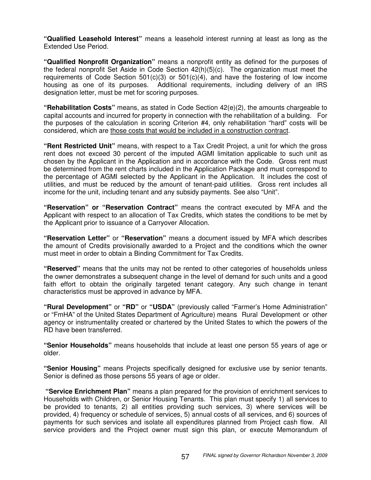**"Qualified Leasehold Interest"** means a leasehold interest running at least as long as the Extended Use Period.

**"Qualified Nonprofit Organization"** means a nonprofit entity as defined for the purposes of the federal nonprofit Set Aside in Code Section 42(h)(5)(c). The organization must meet the requirements of Code Section  $501(c)(3)$  or  $501(c)(4)$ , and have the fostering of low income housing as one of its purposes. Additional requirements, including delivery of an IRS designation letter, must be met for scoring purposes.

**"Rehabilitation Costs"** means, as stated in Code Section 42(e)(2), the amounts chargeable to capital accounts and incurred for property in connection with the rehabilitation of a building. For the purposes of the calculation in scoring Criterion #4, only rehabilitation "hard" costs will be considered, which are those costs that would be included in a construction contract.

**"Rent Restricted Unit"** means, with respect to a Tax Credit Project, a unit for which the gross rent does not exceed 30 percent of the imputed AGMI limitation applicable to such unit as chosen by the Applicant in the Application and in accordance with the Code. Gross rent must be determined from the rent charts included in the Application Package and must correspond to the percentage of AGMI selected by the Applicant in the Application. It includes the cost of utilities, and must be reduced by the amount of tenant-paid utilities. Gross rent includes all income for the unit, including tenant and any subsidy payments. See also "Unit".

**"Reservation" or "Reservation Contract"** means the contract executed by MFA and the Applicant with respect to an allocation of Tax Credits, which states the conditions to be met by the Applicant prior to issuance of a Carryover Allocation.

**"Reservation Letter"** or **"Reservation"** means a document issued by MFA which describes the amount of Credits provisionally awarded to a Project and the conditions which the owner must meet in order to obtain a Binding Commitment for Tax Credits.

**"Reserved"** means that the units may not be rented to other categories of households unless the owner demonstrates a subsequent change in the level of demand for such units and a good faith effort to obtain the originally targeted tenant category. Any such change in tenant characteristics must be approved in advance by MFA.

**"Rural Development"** or **"RD"** or **"USDA"** (previously called "Farmer's Home Administration" or "FmHA" of the United States Department of Agriculture) means Rural Development or other agency or instrumentality created or chartered by the United States to which the powers of the RD have been transferred.

**"Senior Households"** means households that include at least one person 55 years of age or older.

**"Senior Housing"** means Projects specifically designed for exclusive use by senior tenants. Senior is defined as those persons 55 years of age or older.

**"Service Enrichment Plan"** means a plan prepared for the provision of enrichment services to Households with Children, or Senior Housing Tenants. This plan must specify 1) all services to be provided to tenants, 2) all entities providing such services, 3) where services will be provided, 4) frequency or schedule of services, 5) annual costs of all services, and 6) sources of payments for such services and isolate all expenditures planned from Project cash flow. All service providers and the Project owner must sign this plan, or execute Memorandum of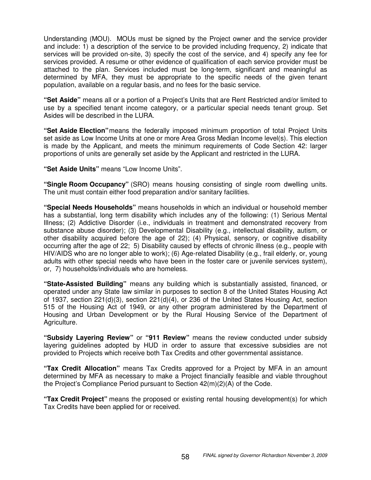Understanding (MOU). MOUs must be signed by the Project owner and the service provider and include: 1) a description of the service to be provided including frequency, 2) indicate that services will be provided on-site, 3) specify the cost of the service, and 4) specify any fee for services provided. A resume or other evidence of qualification of each service provider must be attached to the plan. Services included must be long-term, significant and meaningful as determined by MFA, they must be appropriate to the specific needs of the given tenant population, available on a regular basis, and no fees for the basic service.

**"Set Aside"** means all or a portion of a Project's Units that are Rent Restricted and/or limited to use by a specified tenant income category, or a particular special needs tenant group. Set Asides will be described in the LURA.

**"Set Aside Election"** means the federally imposed minimum proportion of total Project Units set aside as Low Income Units at one or more Area Gross Median Income level(s). This election is made by the Applicant, and meets the minimum requirements of Code Section 42: larger proportions of units are generally set aside by the Applicant and restricted in the LURA.

**"Set Aside Units"** means "Low Income Units".

**"Single Room Occupancy"** (SRO) means housing consisting of single room dwelling units. The unit must contain either food preparation and/or sanitary facilities.

**"Special Needs Households"** means households in which an individual or household member has a substantial, long term disability which includes any of the following: (1) Serious Mental Illness; (2) Addictive Disorder (i.e., individuals in treatment and demonstrated recovery from substance abuse disorder); (3) Developmental Disability (e.g., intellectual disability, autism, or other disability acquired before the age of 22); (4) Physical, sensory, or cognitive disability occurring after the age of 22; 5) Disability caused by effects of chronic illness (e.g., people with HIV/AIDS who are no longer able to work); (6) Age-related Disability (e.g., frail elderly, or, young adults with other special needs who have been in the foster care or juvenile services system), or, 7) households/individuals who are homeless.

**"State-Assisted Building"** means any building which is substantially assisted, financed, or operated under any State law similar in purposes to section 8 of the United States Housing Act of 1937, section 221(d)(3), section 221(d)(4), or 236 of the United States Housing Act, section 515 of the Housing Act of 1949, or any other program administered by the Department of Housing and Urban Development or by the Rural Housing Service of the Department of Agriculture.

**"Subsidy Layering Review"** or **"911 Review"** means the review conducted under subsidy layering guidelines adopted by HUD in order to assure that excessive subsidies are not provided to Projects which receive both Tax Credits and other governmental assistance.

**"Tax Credit Allocation"** means Tax Credits approved for a Project by MFA in an amount determined by MFA as necessary to make a Project financially feasible and viable throughout the Project's Compliance Period pursuant to Section 42(m)(2)(A) of the Code.

**"Tax Credit Project"** means the proposed or existing rental housing development(s) for which Tax Credits have been applied for or received.